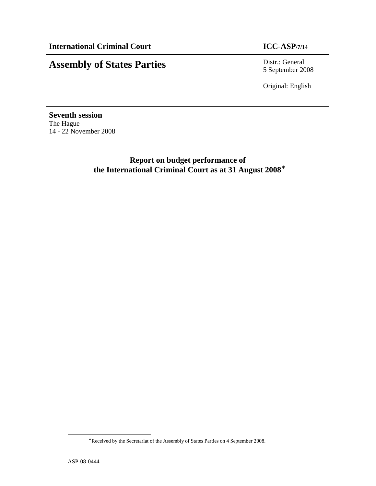# **Assembly of States Parties** Distr.: General

5 September 2008

Original: English

**Seventh session**  The Hague 14 - 22 November 2008

> **Report on budget performance of the International Criminal Court as at 31 August 2008**<sup>∗</sup>

 $\overline{a}$ 

<sup>∗</sup> Received by the Secretariat of the Assembly of States Parties on 4 September 2008.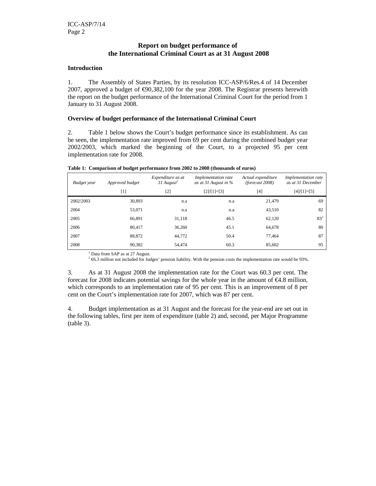# **Report on budget performance of the International Criminal Court as at 31 August 2008**

# **Introduction**

1. The Assembly of States Parties, by its resolution ICC-ASP/6/Res.4 of 14 December 2007, approved a budget of  $\epsilon$ 90,382,100 for the year 2008. The Registrar presents herewith the report on the budget performance of the International Criminal Court for the period from 1 January to 31 August 2008.

# **Overview of budget performance of the International Criminal Court**

2. Table 1 below shows the Court's budget performance since its establishment. As can be seen, the implementation rate improved from 69 per cent during the combined budget year 2002/2003, which marked the beginning of the Court, to a projected 95 per cent implementation rate for 2008.

| Budget year | Approved budget   | Expenditure as at<br>$31$ August <sup>1</sup> | Implementation rate<br>as at 31 August in $\%$ | Actual expenditure<br>(forecast 2008) | Implementation rate<br>as at 31 December |
|-------------|-------------------|-----------------------------------------------|------------------------------------------------|---------------------------------------|------------------------------------------|
|             | $\lceil 1 \rceil$ | $\lceil 2 \rceil$                             | $[2]/[1]=[3]$                                  | $[4]$                                 | $[4]/[1]=[5]$                            |
| 2002/2003   | 30,893            | n.a                                           | n.a                                            | 21.479                                | 69                                       |
| 2004        | 53,071            | n.a                                           | n.a                                            | 43,510                                | 82                                       |
| 2005        | 66,891            | 31,118                                        | 46.5                                           | 62,120                                | $83^2$                                   |
| 2006        | 80.417            | 36,260                                        | 45.1                                           | 64,678                                | 80                                       |
| 2007        | 88,872            | 44.772                                        | 50.4                                           | 77.464                                | 87                                       |
| 2008        | 90,382            | 54.474                                        | 60.3                                           | 85,602                                | 95                                       |

**Table 1: Comparison of budget performance from 2002 to 2008 (thousands of euros)** 

<sup>1</sup> Data from SAP as at 27 August.

 $2 \in 6.3$  million not included for Judges' pension liability. With the pension costs the implementation rate would be 93%.

3. As at 31 August 2008 the implementation rate for the Court was 60.3 per cent. The forecast for 2008 indicates potential savings for the whole year in the amount of  $\epsilon$ 4.8 million, which corresponds to an implementation rate of 95 per cent. This is an improvement of 8 per cent on the Court's implementation rate for 2007, which was 87 per cent.

4. Budget implementation as at 31 August and the forecast for the year-end are set out in the following tables, first per item of expenditure (table 2) and, second, per Major Programme (table 3).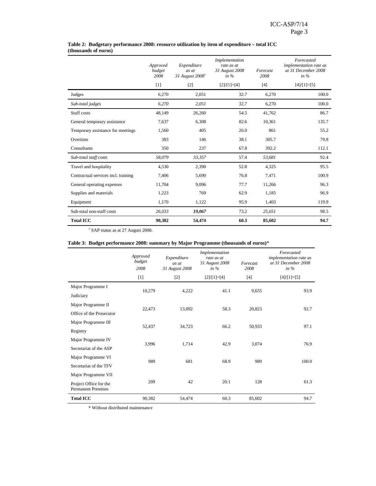|                                     | Approved<br>budget<br>2008 | Expenditure<br>as at<br>31 August 2008 <sup>1</sup> | Implementation<br>rate as at<br>31 August 2008<br>in $\%$ | Forecast<br>2008 | Forecasted<br><i>implementation rate as</i><br>at 31 December 2008<br>in $%$ |
|-------------------------------------|----------------------------|-----------------------------------------------------|-----------------------------------------------------------|------------------|------------------------------------------------------------------------------|
|                                     | $[1]$                      | $[2]$                                               | $[2]/[1]=[4]$                                             | $[4]$            | $[4]/[1]=[5]$                                                                |
| Judges                              | 6,270                      | 2,051                                               | 32.7                                                      | 6,270            | 100.0                                                                        |
| Sub-total judges                    | 6,270                      | 2,051                                               | 32.7                                                      | 6,270            | 100.0                                                                        |
| Staff costs                         | 48,149                     | 26,260                                              | 54.5                                                      | 41,762           | 86.7                                                                         |
| General temporary assistance        | 7,637                      | 6,308                                               | 82.6                                                      | 10,361           | 135.7                                                                        |
| Temporary assistance for meetings   | 1,560                      | 405                                                 | 26.0                                                      | 861              | 55.2                                                                         |
| Overtime                            | 383                        | 146                                                 | 38.1                                                      | 305.7            | 79.8                                                                         |
| Consultants                         | 350                        | 237                                                 | 67.8                                                      | 392.2            | 112.1                                                                        |
| Sub-total staff costs               | 58,079                     | 33,357                                              | 57.4                                                      | 53,681           | 92.4                                                                         |
| Travel and hospitality              | 4,530                      | 2,390                                               | 52.8                                                      | 4,325            | 95.5                                                                         |
| Contractual services incl. training | 7,406                      | 5,690                                               | 76.8                                                      | 7,471            | 100.9                                                                        |
| General operating expenses          | 11,704                     | 9,096                                               | 77.7                                                      | 11,266           | 96.3                                                                         |
| Supplies and materials              | 1,223                      | 769                                                 | 62.9                                                      | 1,185            | 96.9                                                                         |
| Equipment                           | 1,170                      | 1,122                                               | 95.9                                                      | 1,403            | 119.9                                                                        |
| Sub-total non-staff costs           | 26,033                     | 19,067                                              | 73.2                                                      | 25,651           | 98.5                                                                         |
| <b>Total ICC</b>                    | 90,382                     | 54,474                                              | 60.3                                                      | 85,602           | 94.7                                                                         |

### **Table 2: Budgetary performance 2008: resource utilization by item of expenditure – total ICC (thousands of euros)**

<sup>1</sup> SAP status as at 27 August 2008.

# **Table 3: Budget performance 2008: summary by Major Programme (thousands of euros)**\*

|                                                     | Approved<br>budget<br>2008 | Expenditure<br>as at<br>31 August 2008 | Implementation<br>rate as at<br>31 August 2008<br>in $\%$ | Forecast<br>2008 | Forecasted<br>implementation rate as<br>at 31 December 2008<br>in $%$ |
|-----------------------------------------------------|----------------------------|----------------------------------------|-----------------------------------------------------------|------------------|-----------------------------------------------------------------------|
|                                                     | $[1]$                      | $[2]$                                  | $[2]/[1]=[4]$                                             | $[4]$            | $[4]/[1]=[5]$                                                         |
| Major Programme I                                   | 10,279                     | 4,222                                  | 41.1                                                      | 9,655            | 93.9                                                                  |
| Judiciary                                           |                            |                                        |                                                           |                  |                                                                       |
| Major Programme II                                  | 22,473                     | 13,092                                 | 58.3                                                      | 20,823           | 92.7                                                                  |
| Office of the Prosecutor                            |                            |                                        |                                                           |                  |                                                                       |
| Major Programme III                                 | 52,437                     | 34,723                                 | 66.2                                                      | 50,933           | 97.1                                                                  |
| Registry                                            |                            |                                        |                                                           |                  |                                                                       |
| Major Programme IV                                  | 3,996                      | 1,714                                  | 42.9                                                      | 3,074            | 76.9                                                                  |
| Secretariat of the ASP                              |                            |                                        |                                                           |                  |                                                                       |
| Major Programme VI                                  | 989                        | 681                                    | 68.9                                                      | 989              | 100.0                                                                 |
| Secretariat of the TFV                              |                            |                                        |                                                           |                  |                                                                       |
| Major Programme VII                                 |                            |                                        |                                                           |                  |                                                                       |
| Project Office for the<br><b>Permanent Premises</b> | 209                        | 42                                     | 20.1                                                      | 128              | 61.3                                                                  |
| <b>Total ICC</b>                                    | 90,382                     | 54,474                                 | 60.3                                                      | 85,602           | 94.7                                                                  |

\* Without distributed maintenance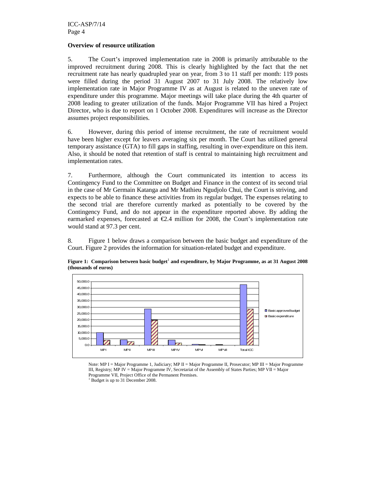# **Overview of resource utilization**

5. The Court's improved implementation rate in 2008 is primarily attributable to the improved recruitment during 2008. This is clearly highlighted by the fact that the net recruitment rate has nearly quadrupled year on year, from 3 to 11 staff per month: 119 posts were filled during the period 31 August 2007 to 31 July 2008. The relatively low implementation rate in Major Programme IV as at August is related to the uneven rate of expenditure under this programme. Major meetings will take place during the 4th quarter of 2008 leading to greater utilization of the funds. Major Programme VII has hired a Project Director, who is due to report on 1 October 2008. Expenditures will increase as the Director assumes project responsibilities.

6. However, during this period of intense recruitment, the rate of recruitment would have been higher except for leavers averaging six per month. The Court has utilized general temporary assistance (GTA) to fill gaps in staffing, resulting in over-expenditure on this item. Also, it should be noted that retention of staff is central to maintaining high recruitment and implementation rates.

7. Furthermore, although the Court communicated its intention to access its Contingency Fund to the Committee on Budget and Finance in the context of its second trial in the case of Mr Germain Katanga and Mr Mathieu Ngudjolo Chui, the Court is striving, and expects to be able to finance these activities from its regular budget. The expenses relating to the second trial are therefore currently marked as potentially to be covered by the Contingency Fund, and do not appear in the expenditure reported above. By adding the earmarked expenses, forecasted at  $\epsilon$ 2.4 million for 2008, the Court's implementation rate would stand at 97.3 per cent.

8. Figure 1 below draws a comparison between the basic budget and expenditure of the Court. Figure 2 provides the information for situation-related budget and expenditure.





Note: MP I = Major Programme 1, Judiciary; MP II = Major Programme II, Prosecutor; MP III = Major Programme III, Registry; MP IV = Major Programme IV, Secretariat of the Assembly of States Parties; MP VII = Major Programme VII, Project Office of the Permanent Premises.

<sup>1</sup> Budget is up to 31 December 2008.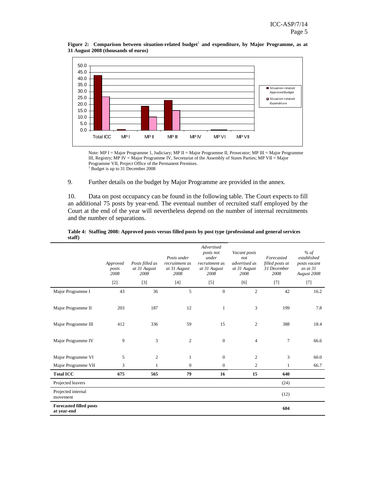

Figure 2: Comparison between situation-related budget<sup>1</sup> and expenditure, by Major Programme, as at **31 August 2008 (thousands of euros)**

Note: MP I = Major Programme 1, Judiciary; MP II = Major Programme II, Prosecutor; MP III = Major Programme III, Registry; MP IV = Major Programme IV, Secretariat of the Assembly of States Parties; MP VII = Major Programme VII, Project Office of the Permanent Premises. <sup>1</sup> Budget is up to 31 December 2008

9. Further details on the budget by Major Programme are provided in the annex.

10. Data on post occupancy can be found in the following table. The Court expects to fill an additional 75 posts by year-end. The eventual number of recruited staff employed by the Court at the end of the year will nevertheless depend on the number of internal recruitments and the number of separations.

|                                               | Approved<br>posts<br>2008 | Posts filled as<br>at 31 August<br>2008 | Posts under<br>recruitment as<br>at 31 August<br>2008 | Advertised<br>posts not<br>under<br>recruitment as<br>at 31 August<br>2008 | Vacant posts<br>not<br>advertised as<br>at 31 August<br>2008 | Forecasted<br>filled posts at<br>31 December<br>2008 | % of<br>established<br>posts vacant<br>as at $31$<br>August 2008 |
|-----------------------------------------------|---------------------------|-----------------------------------------|-------------------------------------------------------|----------------------------------------------------------------------------|--------------------------------------------------------------|------------------------------------------------------|------------------------------------------------------------------|
|                                               | $[2]$                     | $[3]$                                   | $[4]$                                                 | $[5]$                                                                      | [6]                                                          | $[7]$                                                | $[7]$                                                            |
| Major Programme I                             | 43                        | 36                                      | 5                                                     | $\mathbf{0}$                                                               | $\overline{2}$                                               | 42                                                   | 16.2                                                             |
| Major Programme II                            | 203                       | 187                                     | 12                                                    | $\mathbf{1}$                                                               | 3                                                            | 199                                                  | 7.8                                                              |
| Major Programme III                           | 412                       | 336                                     | 59                                                    | 15                                                                         | 2                                                            | 388                                                  | 18.4                                                             |
| Major Programme IV                            | 9                         | 3                                       | $\mathfrak{2}$                                        | $\mathbf{0}$                                                               | $\overline{4}$                                               | $\overline{7}$                                       | 66.6                                                             |
| Major Programme VI                            | 5                         | 2                                       | $\mathbf{1}$                                          | $\boldsymbol{0}$                                                           | $\mathfrak{2}$                                               | 3                                                    | 60.0                                                             |
| Major Programme VII                           | 3                         | $\mathbf{1}$                            | $\mathbf{0}$                                          | $\boldsymbol{0}$                                                           | 2                                                            | $\mathbf{1}$                                         | 66.7                                                             |
| <b>Total ICC</b>                              | 675                       | 565                                     | 79                                                    | 16                                                                         | 15                                                           | 640                                                  |                                                                  |
| Projected leavers                             |                           |                                         |                                                       |                                                                            |                                                              | (24)                                                 |                                                                  |
| Projected internal<br>movement                |                           |                                         |                                                       |                                                                            |                                                              | (12)                                                 |                                                                  |
| <b>Forecasted filled posts</b><br>at year-end |                           |                                         |                                                       |                                                                            |                                                              | 604                                                  |                                                                  |

### **Table 4: Staffing 2008: Approved posts versus filled posts by post type (professional and general services staff)**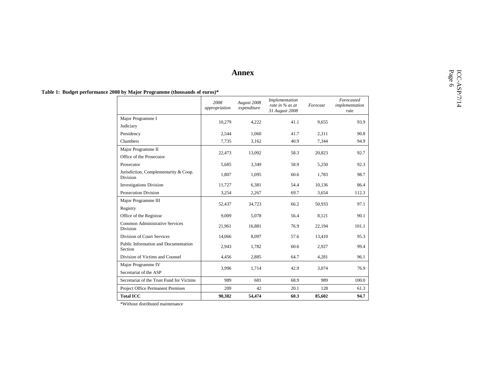|                                                   | 2008<br>appropriation | August 2008<br>expenditure | Implementation<br>rate in % as at<br>31 August 2008 | Forecast | $\label{p:reca} For \emph{ecasted}$<br>implementation<br>rate |
|---------------------------------------------------|-----------------------|----------------------------|-----------------------------------------------------|----------|---------------------------------------------------------------|
| Major Programme I                                 | 10,279                | 4,222                      | 41.1                                                | 9,655    | 93.9                                                          |
| Judiciary                                         |                       |                            |                                                     |          |                                                               |
| Presidency                                        | 2,544                 | 1,060                      | 41.7                                                | 2,311    | 90.8                                                          |
| Chambers                                          | 7,735                 | 3,162                      | 40.9                                                | 7,344    | 94.9                                                          |
| Major Programme II<br>Office of the Prosecutor    | 22,473                | 13,092                     | 58.3                                                | 20,823   | 92.7                                                          |
| Prosecutor                                        | 5,685                 | 3,349                      | 58.9                                                | 5,250    | 92.3                                                          |
| Jurisdiction, Complementarity & Coop.<br>Division | 1,807                 | 1,095                      | 60.6                                                | 1,783    | 98.7                                                          |
| <b>Investigations Division</b>                    | 11,727                | 6,381                      | 54.4                                                | 10,136   | 86.4                                                          |
| Prosecution Division                              | 3,254                 | 2,267                      | 69.7                                                | 3,654    | 112.3                                                         |
| Major Programme III<br>Registry                   | 52,437                | 34,723                     | 66.2                                                | 50,933   | 97.1                                                          |
| Office of the Registrar                           | 9,009                 | 5,078                      | 56.4                                                | 8,121    | 90.1                                                          |
| Common Administrative Services<br>Division        | 21,961                | 16,881                     | 76.9                                                | 22,194   | 101.1                                                         |
| Division of Court Services                        | 14,066                | 8,097                      | 57.6                                                | 13,410   | 95.3                                                          |
| Public Information and Documentation<br>Section   | 2,943                 | 1,782                      | 60.6                                                | 2,927    | 99.4                                                          |
| Division of Victims and Counsel                   | 4,456                 | 2,885                      | 64.7                                                | 4,281    | 96.1                                                          |
| Major Programme IV<br>Secretariat of the ASP      | 3,996                 | 1,714                      | 42.9                                                | 3,074    | 76.9                                                          |
| Secretariat of the Trust Fund for Victims         | 989                   | 681                        | 68.9                                                | 989      | 100.0                                                         |
| Project Office Permanent Premises                 | 209                   | 42                         | 20.1                                                | 128      | 61.3                                                          |
| <b>Total ICC</b>                                  | 90,382                | 54,474                     | 60.3                                                | 85,602   | 94.7                                                          |

\*Without distributed maintenance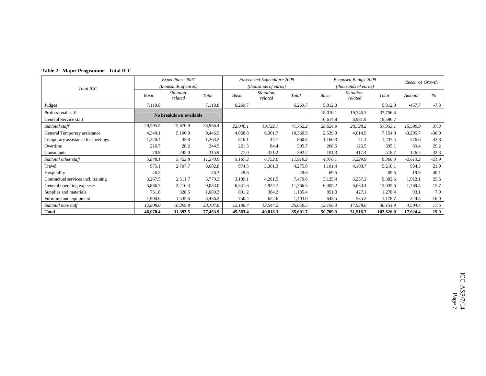|  |  | Table 2: Major Programme - Total ICC |  |
|--|--|--------------------------------------|--|
|--|--|--------------------------------------|--|

|                                     |                                         | Expenditure 2007       |          |                       | Forecasted Expenditure 2008 |          |                       | Proposed Budget 2009          |           | Resource Growth |         |
|-------------------------------------|-----------------------------------------|------------------------|----------|-----------------------|-----------------------------|----------|-----------------------|-------------------------------|-----------|-----------------|---------|
| Total ICC                           |                                         | (thousands of euros)   |          |                       | (thousands of euros)        |          |                       | ( <i>thousands of euros</i> ) |           |                 |         |
|                                     | Situation-<br>Total<br>Basic<br>related |                        | Basic    | Situation-<br>related | Total                       | Basic    | Situation-<br>related | Total                         | Amount    | $\%$            |         |
| Judges                              | 7,118.8                                 |                        | 7,118.8  | 6,269.7               |                             | 6,269.7  | 5,812.0               |                               | 5,812.0   | $-457.7$        | $-7.3$  |
| Professional staff                  |                                         | No breakdown available |          |                       |                             |          | 18,010.1              | 19,746.3                      | 37,756.4  |                 |         |
| General Service staff               |                                         |                        |          |                       |                             |          | 10,614.8              | 8,981.9                       | 19,596.7  |                 |         |
| Subtotal staff                      | 20,295.5                                | 15,670.9               | 35,966.4 | 22,040.1              | 19,722.1                    | 41,762.2 | 28,624.9              | 28,728.2                      | 57,353.1  | 15,590.9        | 37.3    |
| General Temporary assistance        | 4,340.1                                 | 5,106.8                | 9,446.9  | 4,058.8               | 6,301.7                     | 10,360.5 | 2,539.9               | 4,614.9                       | 7,154.8   | $-3,205.7$      | $-30.9$ |
| Temporary assistance for meetings   | 1,220.4                                 | 42.8                   | 1,263.2  | 816.1                 | 44.7                        | 860.8    | 1,166.3               | 71.1                          | 1,237.4   | 376.6           | 43.8    |
| Overtime                            | 216.7                                   | 28.2                   | 244.9    | 221.3                 | 84.4                        | 305.7    | 268.6                 | 126.5                         | 395.1     | 89.4            | 29.2    |
| Consultants                         | 70.9                                    | 245.0                  | 315.9    | 71.0                  | 321.2                       | 392.2    | 101.3                 | 417.4                         | 518.7     | 126.5           | 32.3    |
| Subtotal other staff                | 5,848.1                                 | 5,422.8                | 11,270.9 | 5,167.2               | 6,752.0                     | 11,919.2 | 4,076.1               | 5,229.9                       | 9,306.0   | $-2,613.2$      | $-21.9$ |
| Travel                              | 975.1                                   | 2,707.7                | 3,682.8  | 974.5                 | 3,301.3                     | 4,275.8  | 1,101.4               | 4,108.7                       | 5,210.1   | 934.3           | 21.9    |
| Hospitality                         | 46.3                                    |                        | 46.3     | 49.6                  |                             | 49.6     | 69.5                  |                               | 69.5      | 19.9            | 40.1    |
| Contractual services incl. training | 3,267.5                                 | 2,511.7                | 5,779.2  | 3,189.1               | 4,281.5                     | 7,470.6  | 3,125.4               | 6,257.2                       | 9,382.6   | 1,912.1         | 25.6    |
| General operating expenses          | 5,866.7                                 | 3,216.3                | 9,083.0  | 6,341.6               | 4,924.7                     | 11,266.3 | 6,405.2               | 6,630.4                       | 13,035.6  | 1,769.3         | 15.7    |
| Supplies and materials              | 751.8                                   | 328.5                  | 1,080.3  | 801.2                 | 384.2                       | 1,185.4  | 851.3                 | 427.1                         | 1,278.4   | 93.1            | 7.9     |
| Furniture and equipment             | 1,900.6                                 | 1,535.6                | 3,436.2  | 750.4                 | 652.6                       | 1,403.0  | 643.5                 | 535.2                         | 1,178.7   | $-224.3$        | $-16.0$ |
| Subtotal non-staff                  | 12,808.0                                | 10,299.8               | 23,107.8 | 12,106.4              | 13,544.2                    | 25,650.5 | 12,196.3              | 17,958.6                      | 30,154.9  | 4,504.4         | 17.6    |
| <b>Total</b>                        | 46,070.4                                | 31,393.5               | 77,463.9 | 45,583.4              | 40,018.3                    | 85,601.7 | 50,709.3              | 51,916.7                      | 102,626.0 | 17,024.4        | 19.9    |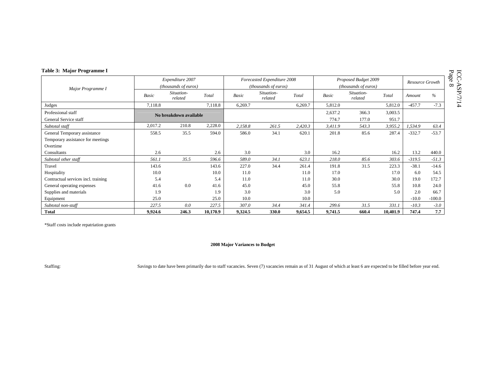| Table 3: Major Programme I          |         |                        |          |         |                             |         |                             |                       |          |                 |          |  |
|-------------------------------------|---------|------------------------|----------|---------|-----------------------------|---------|-----------------------------|-----------------------|----------|-----------------|----------|--|
|                                     |         | Expenditure 2007       |          |         | Forecasted Expenditure 2008 |         |                             | Proposed Budget 2009  |          | Resource Growth |          |  |
| Major Programme I                   |         | (thousands of euros)   |          |         | (thousands of euros)        |         | <i>(thousands of euros)</i> |                       |          |                 |          |  |
|                                     | Basic   | Situation-<br>related  | Total    | Basic   | Situation-<br>related       | Total   | <b>Basic</b>                | Situation-<br>related | Total    | Amount          | $\%$     |  |
| Judges                              | 7,118.8 |                        | 7,118.8  | 6,269.7 |                             | 6,269.7 | 5,812.0                     |                       | 5,812.0  | $-457.7$        | $-7.3$   |  |
| Professional staff                  |         | No breakdown available |          |         |                             |         | 2,637.2                     | 366.3                 | 3,003.5  |                 |          |  |
| General Service staff               |         |                        |          |         |                             |         | 774.7                       | 177.0                 | 951.7    |                 |          |  |
| Subtotal staff                      | 2,017.2 | 210.8                  | 2,228.0  | 2,158.8 | 261.5                       | 2,420.3 | 3,411.9                     | 543.3                 | 3,955.2  | 1,534.9         | 63.4     |  |
| General Temporary assistance        | 558.5   | 35.5                   | 594.0    | 586.0   | 34.1                        | 620.1   | 201.8                       | 85.6                  | 287.4    | $-332.7$        | $-53.7$  |  |
| Temporary assistance for meetings   |         |                        |          |         |                             |         |                             |                       |          |                 |          |  |
| Overtime                            |         |                        |          |         |                             |         |                             |                       |          |                 |          |  |
| Consultants                         | 2.6     |                        | 2.6      | 3.0     |                             | 3.0     | 16.2                        |                       | 16.2     | 13.2            | 440.0    |  |
| Subtotal other staff                | 561.1   | 35.5                   | 596.6    | 589.0   | 34.1                        | 623.1   | 218.0                       | 85.6                  | 303.6    | $-319.5$        | $-51.3$  |  |
| Travel                              | 143.6   |                        | 143.6    | 227.0   | 34.4                        | 261.4   | 191.8                       | 31.5                  | 223.3    | $-38.1$         | $-14.6$  |  |
| Hospitality                         | 10.0    |                        | 10.0     | 11.0    |                             | 11.0    | 17.0                        |                       | 17.0     | 6.0             | 54.5     |  |
| Contractual services incl. training | 5.4     |                        | 5.4      | 11.0    |                             | 11.0    | 30.0                        |                       | 30.0     | 19.0            | 172.7    |  |
| General operating expenses          | 41.6    | 0.0                    | 41.6     | 45.0    |                             | 45.0    | 55.8                        |                       | 55.8     | 10.8            | 24.0     |  |
| Supplies and materials              | 1.9     |                        | 1.9      | 3.0     |                             | 3.0     | 5.0                         |                       | 5.0      | 2.0             | 66.7     |  |
| Equipment                           | 25.0    |                        | 25.0     | 10.0    |                             | 10.0    |                             |                       |          | $-10.0$         | $-100.0$ |  |
| Subtotal non-staff                  | 227.5   | 0.0                    | 227.5    | 307.0   | 34.4                        | 341.4   | 299.6                       | 31.5                  | 331.1    | $-10.3$         | $-3.0$   |  |
| <b>Total</b>                        | 9,924.6 | 246.3                  | 10,170.9 | 9,324.5 | 330.0                       | 9,654.5 | 9,741.5                     | 660.4                 | 10,401.9 | 747.4           | 7.7      |  |

# **2008 Major Variances to Budget**

Staffing: Savings to date have been primarily due to staff vacancies. Seven (7) vacancies remain as of 31 August of which at least 6 are expected to be filled before year end.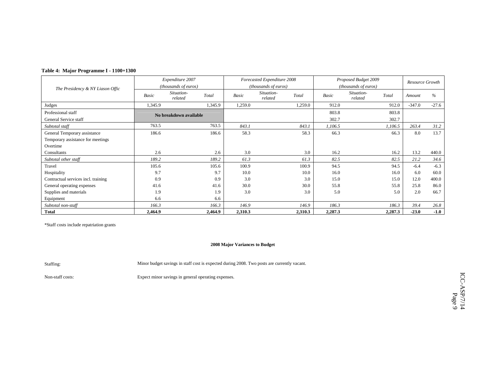|  |  | Table 4: Major Programme I - 1100+1300 |  |  |
|--|--|----------------------------------------|--|--|
|--|--|----------------------------------------|--|--|

|                                     |         | Expenditure 2007       |         |         | Forecasted Expenditure 2008 |         |              | Proposed Budget 2009  |         | Resource Growth |         |
|-------------------------------------|---------|------------------------|---------|---------|-----------------------------|---------|--------------|-----------------------|---------|-----------------|---------|
| The Presidency & NY Liason Offic    |         | (thousands of euros)   |         |         | (thousands of euros)        |         |              | (thousands of euros)  |         |                 |         |
|                                     | Basic   | Situation-<br>related  | Total   | Basic   | Situation-<br>related       | Total   | <b>Basic</b> | Situation-<br>related | Total   | Amount          | $\%$    |
| Judges                              | 1,345.9 |                        | 1,345.9 | 1,259.0 |                             | 1,259.0 | 912.0        |                       | 912.0   | $-347.0$        | $-27.6$ |
| Professional staff                  |         | No breakdown available |         |         |                             |         | 803.8        |                       | 803.8   |                 |         |
| General Service staff               |         |                        |         |         |                             |         | 302.7        |                       | 302.7   |                 |         |
| Subtotal staff                      | 763.5   |                        | 763.5   | 843.1   |                             | 843.1   | 1,106.5      |                       | 1,106.5 | 263.4           | 31.2    |
| General Temporary assistance        | 186.6   |                        | 186.6   | 58.3    |                             | 58.3    | 66.3         |                       | 66.3    | 8.0             | 13.7    |
| Temporary assistance for meetings   |         |                        |         |         |                             |         |              |                       |         |                 |         |
| Overtime                            |         |                        |         |         |                             |         |              |                       |         |                 |         |
| Consultants                         | 2.6     |                        | 2.6     | 3.0     |                             | 3.0     | 16.2         |                       | 16.2    | 13.2            | 440.0   |
| Subtotal other staff                | 189.2   |                        | 189.2   | 61.3    |                             | 61.3    | 82.5         |                       | 82.5    | 21.2            | 34.6    |
| Travel                              | 105.6   |                        | 105.6   | 100.9   |                             | 100.9   | 94.5         |                       | 94.5    | $-6.4$          | $-6.3$  |
| Hospitality                         | 9.7     |                        | 9.7     | 10.0    |                             | 10.0    | 16.0         |                       | 16.0    | 6.0             | 60.0    |
| Contractual services incl. training | 0.9     |                        | 0.9     | 3.0     |                             | 3.0     | 15.0         |                       | 15.0    | 12.0            | 400.0   |
| General operating expenses          | 41.6    |                        | 41.6    | 30.0    |                             | 30.0    | 55.8         |                       | 55.8    | 25.8            | 86.0    |
| Supplies and materials              | 1.9     |                        | 1.9     | 3.0     |                             | 3.0     | 5.0          |                       | 5.0     | 2.0             | 66.7    |
| Equipment                           | 6.6     |                        | 6.6     |         |                             |         |              |                       |         |                 |         |
| Subtotal non-staff                  | 166.3   |                        | 166.3   | 146.9   |                             | 146.9   | 186.3        |                       | 186.3   | 39.4            | 26.8    |
| <b>Total</b>                        | 2,464.9 |                        | 2,464.9 | 2,310.3 |                             | 2,310.3 | 2,287.3      |                       | 2,287.3 | $-23.0$         | $-1.0$  |

# **2008 Major Variances to Budget**

Staffing: Minor budget savings in staff cost is expected during 2008. Two posts are currently vacant.

Non-staff costs: Expect minor savings in general operating expenses.

ICC-ASP/7/14  $\text{ICC-ASP/7}/14$  Page 9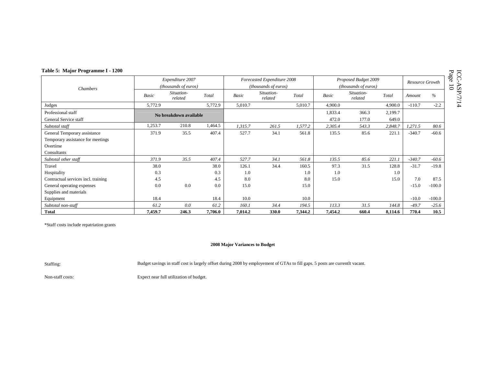| Table 5: Major Programme I - 1200   |         |                        |         |         |                             |         |                               |                       |         |                 |          |
|-------------------------------------|---------|------------------------|---------|---------|-----------------------------|---------|-------------------------------|-----------------------|---------|-----------------|----------|
|                                     |         | Expenditure 2007       |         |         | Forecasted Expenditure 2008 |         |                               | Proposed Budget 2009  |         | Resource Growth |          |
| Chambers                            |         | (thousands of euros)   |         |         | <i>(thousands of euros)</i> |         | ( <i>thousands of euros</i> ) |                       |         |                 |          |
|                                     | Basic   | Situation-<br>related  | Total   | Basic   | Situation-<br>related       | Total   | Basic                         | Situation-<br>related | Total   | Amount          | $\%$     |
| Judges                              | 5,772.9 |                        | 5,772.9 | 5,010.7 |                             | 5,010.7 | 4,900.0                       |                       | 4,900.0 | $-110.7$        | $-2.2$   |
| Professional staff                  |         | No breakdown available |         |         |                             |         | 1,833.4                       | 366.3                 | 2,199.7 |                 |          |
| General Service staff               |         |                        |         |         |                             |         | 472.0                         | 177.0                 | 649.0   |                 |          |
| Subtotal staff                      | 1,253.7 | 210.8                  | 1,464.5 | 1,315.7 | 261.5                       | 1,577.2 | 2,305.4                       | 543.3                 | 2,848.7 | 1,271.5         | 80.6     |
| General Temporary assistance        | 371.9   | 35.5                   | 407.4   | 527.7   | 34.1                        | 561.8   | 135.5                         | 85.6                  | 221.1   | $-340.7$        | $-60.6$  |
| Temporary assistance for meetings   |         |                        |         |         |                             |         |                               |                       |         |                 |          |
| Overtime                            |         |                        |         |         |                             |         |                               |                       |         |                 |          |
| Consultants                         |         |                        |         |         |                             |         |                               |                       |         |                 |          |
| Subtotal other staff                | 371.9   | 35.5                   | 407.4   | 527.7   | 34.1                        | 561.8   | 135.5                         | 85.6                  | 221.1   | $-340.7$        | $-60.6$  |
| Travel                              | 38.0    |                        | 38.0    | 126.1   | 34.4                        | 160.5   | 97.3                          | 31.5                  | 128.8   | $-31.7$         | $-19.8$  |
| Hospitality                         | 0.3     |                        | 0.3     | 1.0     |                             | 1.0     | 1.0                           |                       | 1.0     |                 |          |
| Contractual services incl. training | 4.5     |                        | 4.5     | 8.0     |                             | 8.0     | 15.0                          |                       | 15.0    | 7.0             | 87.5     |
| General operating expenses          | 0.0     | 0.0                    | 0.0     | 15.0    |                             | 15.0    |                               |                       |         | $-15.0$         | $-100.0$ |
| Supplies and materials              |         |                        |         |         |                             |         |                               |                       |         |                 |          |
| Equipment                           | 18.4    |                        | 18.4    | 10.0    |                             | 10.0    |                               |                       |         | $-10.0$         | $-100.0$ |
| Subtotal non-staff                  | 61.2    | 0.0                    | 61.2    | 160.1   | 34.4                        | 194.5   | 113.3                         | 31.5                  | 144.8   | $-49.7$         | $-25.6$  |
| <b>Total</b>                        | 7,459.7 | 246.3                  | 7,706.0 | 7,014.2 | 330.0                       | 7,344.2 | 7,454.2                       | 660.4                 | 8,114.6 | 770.4           | 10.5     |

### **2008 Major Variances to Budget**

Staffing: Budget savings in staff cost is largely offset during 2008 by employement of GTAs to fill gaps. 5 posts are currentlt vacant.

Non-staff costs: Expect near full utilization of budget.

 $\text{ICC-ASP/7/14} \ \text{Page 10}$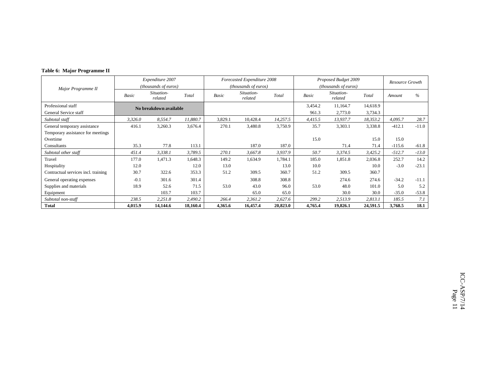### **Table 6: Major Programme II**

|                                     |         | Expenditure 2007       |          |         | Forecasted Expenditure 2008 |          |         | Proposed Budget 2009          |          | Resource Growth |               |
|-------------------------------------|---------|------------------------|----------|---------|-----------------------------|----------|---------|-------------------------------|----------|-----------------|---------------|
| Major Programme II                  |         | (thousands of euros)   |          |         | <i>(thousands of euros)</i> |          |         | ( <i>thousands of euros</i> ) |          |                 |               |
|                                     | Basic   | Situation-<br>related  | Total    | Basic   | Situation-<br>related       | Total    | Basic   | Situation-<br>related         | Total    | Amount          | $\frac{0}{0}$ |
| Professional staff                  |         | No breakdown available |          |         |                             |          | 3,454.2 | 11,164.7                      | 14,618.9 |                 |               |
| General Service staff               |         |                        |          |         |                             |          | 961.3   | 2,773.0                       | 3,734.3  |                 |               |
| Subtotal staff                      | 3,326.0 | 8,554.7                | 11,880.7 | 3,829.1 | 10,428.4                    | 14,257.5 | 4,415.5 | 13,937.7                      | 18,353.2 | 4,095.7         | 28.7          |
| General temporary assistance        | 416.1   | 3,260.3                | 3,676.4  | 270.1   | 3,480.8                     | 3,750.9  | 35.7    | 3,303.1                       | 3,338.8  | $-412.1$        | $-11.0$       |
| Temporary assistance for meetings   |         |                        |          |         |                             |          |         |                               |          |                 |               |
| Overtime                            |         |                        |          |         |                             |          | 15.0    |                               | 15.0     | 15.0            |               |
| Consultants                         | 35.3    | 77.8                   | 113.1    |         | 187.0                       | 187.0    |         | 71.4                          | 71.4     | $-115.6$        | $-61.8$       |
| Subtotal other staff                | 451.4   | 3,338.1                | 3,789.5  | 270.1   | 3,667.8                     | 3,937.9  | 50.7    | 3,374.5                       | 3,425.2  | $-512.7$        | $-13.0$       |
| Travel                              | 177.0   | 1,471.3                | 1,648.3  | 149.2   | 1,634.9                     | 1,784.1  | 185.0   | 1,851.8                       | 2,036.8  | 252.7           | 14.2          |
| Hospitality                         | 12.0    |                        | 12.0     | 13.0    |                             | 13.0     | 10.0    |                               | 10.0     | $-3.0$          | $-23.1$       |
| Contractual services incl. training | 30.7    | 322.6                  | 353.3    | 51.2    | 309.5                       | 360.7    | 51.2    | 309.5                         | 360.7    |                 |               |
| General operating expenses          | $-0.1$  | 301.6                  | 301.4    |         | 308.8                       | 308.8    |         | 274.6                         | 274.6    | $-34.2$         | $-11.1$       |
| Supplies and materials              | 18.9    | 52.6                   | 71.5     | 53.0    | 43.0                        | 96.0     | 53.0    | 48.0                          | 101.0    | 5.0             | 5.2           |
| Equipment                           |         | 103.7                  | 103.7    |         | 65.0                        | 65.0     |         | 30.0                          | 30.0     | $-35.0$         | $-53.8$       |
| Subtotal non-staff                  | 238.5   | 2,251.8                | 2,490.2  | 266.4   | 2,361.2                     | 2,627.6  | 299.2   | 2,513.9                       | 2,813.1  | 185.5           | 7.1           |
| <b>Total</b>                        | 4,015.9 | 14,144.6               | 18,160.4 | 4,365.6 | 16,457.4                    | 20,823.0 | 4,765.4 | 19,826.1                      | 24,591.5 | 3,768.5         | 18.1          |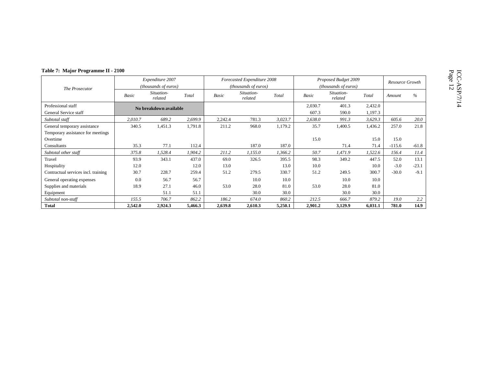| Table 7: Major Programme II - 2100  |         |                        |         |         |                             |         |         |                             |         |          |                 |  |
|-------------------------------------|---------|------------------------|---------|---------|-----------------------------|---------|---------|-----------------------------|---------|----------|-----------------|--|
|                                     |         | Expenditure 2007       |         |         | Forecasted Expenditure 2008 |         |         | Proposed Budget 2009        |         |          | Resource Growth |  |
| The Prosecutor                      |         | (thousands of euros)   |         |         | (thousands of euros)        |         |         | <i>(thousands of euros)</i> |         |          |                 |  |
|                                     | Basic   | Situation-<br>related  | Total   | Basic   | Situation-<br>related       | Total   | Basic   | Situation-<br>related       | Total   | Amount   | $\%$            |  |
| Professional staff                  |         | No breakdown available |         |         |                             |         | 2,030.7 | 401.3                       | 2,432.0 |          |                 |  |
| General Service staff               |         |                        |         |         |                             |         | 607.3   | 590.0                       | 1,197.3 |          |                 |  |
| Subtotal staff                      | 2,010.7 | 689.2                  | 2,699.9 | 2,242.4 | 781.3                       | 3,023.7 | 2,638.0 | 991.3                       | 3,629.3 | 605.6    | 20.0            |  |
| General temporary assistance        | 340.5   | 1,451.3                | 1,791.8 | 211.2   | 968.0                       | 1,179.2 | 35.7    | 1,400.5                     | 1,436.2 | 257.0    | 21.8            |  |
| Temporary assistance for meetings   |         |                        |         |         |                             |         |         |                             |         |          |                 |  |
| Overtime                            |         |                        |         |         |                             |         | 15.0    |                             | 15.0    | 15.0     |                 |  |
| Consultants                         | 35.3    | 77.1                   | 112.4   |         | 187.0                       | 187.0   |         | 71.4                        | 71.4    | $-115.6$ | $-61.8$         |  |
| Subtotal other staff                | 375.8   | 1,528.4                | 1,904.2 | 211.2   | 1,155.0                     | 1,366.2 | 50.7    | 1,471.9                     | 1,522.6 | 156.4    | 11.4            |  |
| Travel                              | 93.9    | 343.1                  | 437.0   | 69.0    | 326.5                       | 395.5   | 98.3    | 349.2                       | 447.5   | 52.0     | 13.1            |  |
| Hospitality                         | 12.0    |                        | 12.0    | 13.0    |                             | 13.0    | 10.0    |                             | 10.0    | $-3.0$   | $-23.1$         |  |
| Contractual services incl. training | 30.7    | 228.7                  | 259.4   | 51.2    | 279.5                       | 330.7   | 51.2    | 249.5                       | 300.7   | $-30.0$  | $-9.1$          |  |
| General operating expenses          | 0.0     | 56.7                   | 56.7    |         | 10.0                        | 10.0    |         | 10.0                        | 10.0    |          |                 |  |
| Supplies and materials              | 18.9    | 27.1                   | 46.0    | 53.0    | 28.0                        | 81.0    | 53.0    | 28.0                        | 81.0    |          |                 |  |
| Equipment                           |         | 51.1                   | 51.1    |         | 30.0                        | 30.0    |         | 30.0                        | 30.0    |          |                 |  |
| Subtotal non-staff                  | 155.5   | 706.7                  | 862.2   | 186.2   | 674.0                       | 860.2   | 212.5   | 666.7                       | 879.2   | 19.0     | 2.2             |  |
| <b>Total</b>                        | 2,542.0 | 2,924.3                | 5,466.3 | 2,639.8 | 2,610.3                     | 5,250.1 | 2,901.2 | 3,129.9                     | 6,031.1 | 781.0    | 14.9            |  |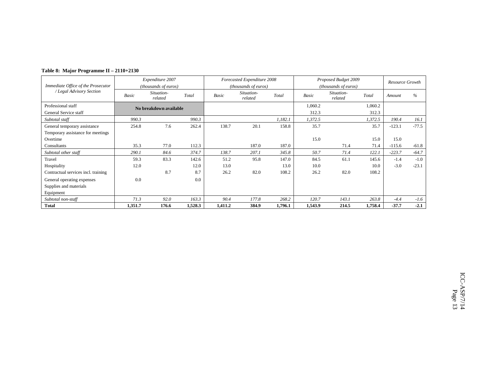|  | Table 8: Major Programme II – 2110+2130 |  |
|--|-----------------------------------------|--|
|--|-----------------------------------------|--|

|                                     |              | Expenditure 2007       |         |         | Forecasted Expenditure 2008 |         | Proposed Budget 2009 | Resource Growth       |         |          |         |
|-------------------------------------|--------------|------------------------|---------|---------|-----------------------------|---------|----------------------|-----------------------|---------|----------|---------|
| Immediate Office of the Prosecutor  |              | (thousands of euros)   |         |         | (thousands of euros)        |         |                      | (thousands of euros)  |         |          |         |
| / Legal Advisory Section            | <b>Basic</b> | Situation-<br>related  | Total   | Basic   | Situation-<br>related       | Total   | Basic                | Situation-<br>related | Total   | Amount   | $\%$    |
| Professional staff                  |              | No breakdown available |         |         |                             |         | 1,060.2              |                       | 1,060.2 |          |         |
| General Service staff               |              |                        |         |         |                             |         | 312.3                |                       | 312.3   |          |         |
| Subtotal staff                      | 990.3        |                        | 990.3   |         |                             | 1,182.1 | 1,372.5              |                       | 1,372.5 | 190.4    | 16.1    |
| General temporary assistance        | 254.8        | 7.6                    | 262.4   | 138.7   | 20.1                        | 158.8   | 35.7                 |                       | 35.7    | $-123.1$ | $-77.5$ |
| Temporary assistance for meetings   |              |                        |         |         |                             |         |                      |                       |         |          |         |
| Overtime                            |              |                        |         |         |                             |         | 15.0                 |                       | 15.0    | 15.0     |         |
| Consultants                         | 35.3         | 77.0                   | 112.3   |         | 187.0                       | 187.0   |                      | 71.4                  | 71.4    | $-115.6$ | $-61.8$ |
| Subtotal other staff                | 290.1        | 84.6                   | 374.7   | 138.7   | 207.1                       | 345.8   | 50.7                 | 71.4                  | 122.1   | $-223.7$ | $-64.7$ |
| Travel                              | 59.3         | 83.3                   | 142.6   | 51.2    | 95.8                        | 147.0   | 84.5                 | 61.1                  | 145.6   | $-1.4$   | $-1.0$  |
| Hospitality                         | 12.0         |                        | 12.0    | 13.0    |                             | 13.0    | 10.0                 |                       | 10.0    | $-3.0$   | $-23.1$ |
| Contractual services incl. training |              | 8.7                    | 8.7     | 26.2    | 82.0                        | 108.2   | 26.2                 | 82.0                  | 108.2   |          |         |
| General operating expenses          | 0.0          |                        | 0.0     |         |                             |         |                      |                       |         |          |         |
| Supplies and materials              |              |                        |         |         |                             |         |                      |                       |         |          |         |
| Equipment                           |              |                        |         |         |                             |         |                      |                       |         |          |         |
| Subtotal non-staff                  | 71.3         | 92.0                   | 163.3   | 90.4    | 177.8                       | 268.2   | 120.7                | 143.1                 | 263.8   | $-4.4$   | $-1.6$  |
| <b>Total</b>                        | 1,351.7      | 176.6                  | 1,528.3 | 1,411.2 | 384.9                       | 1,796.1 | 1,543.9              | 214.5                 | 1,758.4 | $-37.7$  | $-2.1$  |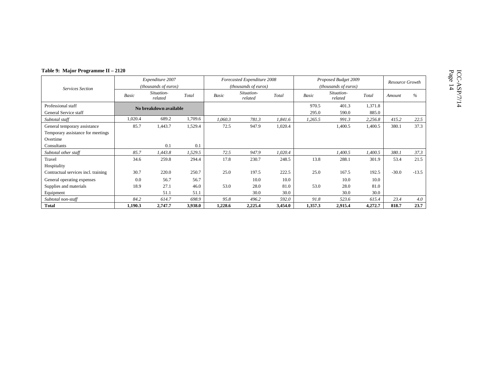|                                                                               |         | Expenditure 2007<br>(thousands of euros) |         |         | Forecasted Expenditure 2008<br>(thousands of euros) |         |                | Proposed Budget 2009<br>(thousands of euros) |                  |         |         |
|-------------------------------------------------------------------------------|---------|------------------------------------------|---------|---------|-----------------------------------------------------|---------|----------------|----------------------------------------------|------------------|---------|---------|
| <b>Services Section</b>                                                       | Basic   | Situation-<br>related                    | Total   | Basic   | Situation-<br>related                               | Total   | Basic          | Situation-<br>related                        | Total            | Amount  | %       |
| Professional staff<br>General Service staff                                   |         | No breakdown available                   |         |         |                                                     |         | 970.5<br>295.0 | 401.3<br>590.0                               | 1,371.8<br>885.0 |         |         |
| Subtotal staff                                                                | 1,020.4 | 689.2                                    | 1,709.6 | 1,060.3 | 781.3                                               | 1,841.6 | 1,265.5        | 991.3                                        | 2,256.8          | 415.2   | 22.5    |
| General temporary assistance<br>Temporary assistance for meetings<br>Overtime | 85.7    | 1,443.7                                  | 1,529.4 | 72.5    | 947.9                                               | 1,020.4 |                | 1,400.5                                      | 1,400.5          | 380.1   | 37.3    |
| Consultants                                                                   |         | 0.1                                      | 0.1     |         |                                                     |         |                |                                              |                  |         |         |
| Subtotal other staff                                                          | 85.7    | 1,443.8                                  | 1,529.5 | 72.5    | 947.9                                               | 1,020.4 |                | 1,400.5                                      | 1,400.5          | 380.1   | 37.3    |
| Travel<br>Hospitality                                                         | 34.6    | 259.8                                    | 294.4   | 17.8    | 230.7                                               | 248.5   | 13.8           | 288.1                                        | 301.9            | 53.4    | 21.5    |
| Contractual services incl. training                                           | 30.7    | 220.0                                    | 250.7   | 25.0    | 197.5                                               | 222.5   | 25.0           | 167.5                                        | 192.5            | $-30.0$ | $-13.5$ |
| General operating expenses                                                    | 0.0     | 56.7                                     | 56.7    |         | 10.0                                                | 10.0    |                | 10.0                                         | 10.0             |         |         |
| Supplies and materials                                                        | 18.9    | 27.1                                     | 46.0    | 53.0    | 28.0                                                | 81.0    | 53.0           | 28.0                                         | 81.0             |         |         |
| Equipment                                                                     |         | 51.1                                     | 51.1    |         | 30.0                                                | 30.0    |                | 30.0                                         | 30.0             |         |         |
| Subtotal non-staff                                                            | 84.2    | 614.7                                    | 698.9   | 95.8    | 496.2                                               | 592.0   | 91.8           | 523.6                                        | 615.4            | 23.4    | 4.0     |
| <b>Total</b>                                                                  | 1,190.3 | 2,747.7                                  | 3,938.0 | 1,228.6 | 2,225.4                                             | 3,454.0 | 1,357.3        | 2,915.4                                      | 4,272.7          | 818.7   | 23.7    |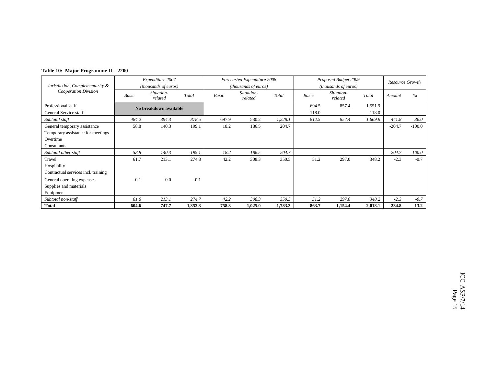| Table 10: Major Programme II – 2200 |
|-------------------------------------|
|                                     |

|                                     |        | Expenditure 2007       |         |       | Forecasted Expenditure 2008   |         | Proposed Budget 2009 | Resource Growth       |         |          |          |
|-------------------------------------|--------|------------------------|---------|-------|-------------------------------|---------|----------------------|-----------------------|---------|----------|----------|
| Jurisdiction, Complementarity &     |        | (thousands of euros)   |         |       | ( <i>thousands of euros</i> ) |         |                      | (thousands of euros)  |         |          |          |
| Cooperation Division                | Basic  | Situation-<br>related  | Total   | Basic | Situation-<br>related         | Total   | Basic                | Situation-<br>related | Total   | Amount   | $\%$     |
| Professional staff                  |        | No breakdown available |         |       |                               |         | 694.5                | 857.4                 | 1,551.9 |          |          |
| General Service staff               |        |                        |         |       |                               |         | 118.0                |                       | 118.0   |          |          |
| Subtotal staff                      | 484.2  | 394.3                  | 878.5   | 697.9 | 530.2                         | 1,228.1 | 812.5                | 857.4                 | 1,669.9 | 441.8    | 36.0     |
| General temporary assistance        | 58.8   | 140.3                  | 199.1   | 18.2  | 186.5                         | 204.7   |                      |                       |         | $-204.7$ | $-100.0$ |
| Temporary assistance for meetings   |        |                        |         |       |                               |         |                      |                       |         |          |          |
| Overtime                            |        |                        |         |       |                               |         |                      |                       |         |          |          |
| Consultants                         |        |                        |         |       |                               |         |                      |                       |         |          |          |
| Subtotal other staff                | 58.8   | 140.3                  | 199.1   | 18.2  | 186.5                         | 204.7   |                      |                       |         | $-204.7$ | $-100.0$ |
| Travel                              | 61.7   | 213.1                  | 274.8   | 42.2  | 308.3                         | 350.5   | 51.2                 | 297.0                 | 348.2   | $-2.3$   | $-0.7$   |
| Hospitality                         |        |                        |         |       |                               |         |                      |                       |         |          |          |
| Contractual services incl. training |        |                        |         |       |                               |         |                      |                       |         |          |          |
| General operating expenses          | $-0.1$ | 0.0                    | $-0.1$  |       |                               |         |                      |                       |         |          |          |
| Supplies and materials              |        |                        |         |       |                               |         |                      |                       |         |          |          |
| Equipment                           |        |                        |         |       |                               |         |                      |                       |         |          |          |
| Subtotal non-staff                  | 61.6   | 213.1                  | 274.7   | 42.2  | 308.3                         | 350.5   | 51.2                 | 297.0                 | 348.2   | $-2.3$   | $-0.7$   |
| <b>Total</b>                        | 604.6  | 747.7                  | 1,352.3 | 758.3 | 1,025.0                       | 1,783.3 | 863.7                | 1,154.4               | 2,018.1 | 234.8    | 13.2     |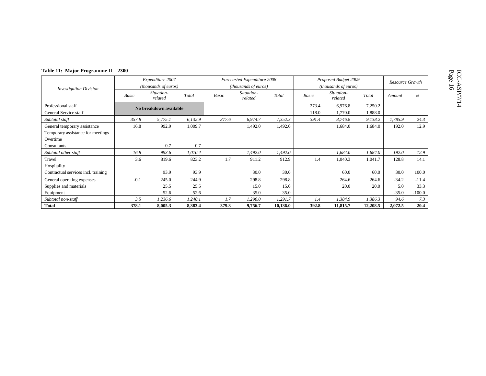| Table 11: Major Programme II – 2300 |        |                        |         |       |                             |          |       |                       |          |                        |          |
|-------------------------------------|--------|------------------------|---------|-------|-----------------------------|----------|-------|-----------------------|----------|------------------------|----------|
|                                     |        | Expenditure 2007       |         |       | Forecasted Expenditure 2008 |          |       | Proposed Budget 2009  |          | <b>Resource Growth</b> |          |
| <b>Investigation Division</b>       |        | (thousands of euros)   |         |       | (thousands of euros)        |          |       | (thousands of euros)  |          |                        |          |
|                                     | Basic  | Situation-<br>related  | Total   | Basic | Situation-<br>related       | Total    | Basic | Situation-<br>related | Total    | Amount                 | $\%$     |
| Professional staff                  |        | No breakdown available |         |       |                             |          | 273.4 | 6,976.8               | 7,250.2  |                        |          |
| General Service staff               |        |                        |         |       |                             |          | 118.0 | 1,770.0               | 1,888.0  |                        |          |
| Subtotal staff                      | 357.8  | 5,775.1                | 6,132.9 | 377.6 | 6,974.7                     | 7,352.3  | 391.4 | 8,746.8               | 9,138.2  | 1,785.9                | 24.3     |
| General temporary assistance        | 16.8   | 992.9                  | 1,009.7 |       | 1,492.0                     | 1,492.0  |       | 1,684.0               | 1,684.0  | 192.0                  | 12.9     |
| Temporary assistance for meetings   |        |                        |         |       |                             |          |       |                       |          |                        |          |
| Overtime                            |        |                        |         |       |                             |          |       |                       |          |                        |          |
| Consultants                         |        | 0.7                    | 0.7     |       |                             |          |       |                       |          |                        |          |
| Subtotal other staff                | 16.8   | 993.6                  | 1,010.4 |       | 1,492.0                     | 1,492.0  |       | 1,684.0               | 1,684.0  | 192.0                  | 12.9     |
| Travel                              | 3.6    | 819.6                  | 823.2   | 1.7   | 911.2                       | 912.9    | 1.4   | 1,040.3               | 1,041.7  | 128.8                  | 14.1     |
| Hospitality                         |        |                        |         |       |                             |          |       |                       |          |                        |          |
| Contractual services incl. training |        | 93.9                   | 93.9    |       | 30.0                        | 30.0     |       | 60.0                  | 60.0     | 30.0                   | 100.0    |
| General operating expenses          | $-0.1$ | 245.0                  | 244.9   |       | 298.8                       | 298.8    |       | 264.6                 | 264.6    | $-34.2$                | $-11.4$  |
| Supplies and materials              |        | 25.5                   | 25.5    |       | 15.0                        | 15.0     |       | 20.0                  | 20.0     | 5.0                    | 33.3     |
| Equipment                           |        | 52.6                   | 52.6    |       | 35.0                        | 35.0     |       |                       |          | $-35.0$                | $-100.0$ |
| Subtotal non-staff                  | 3.5    | 1,236.6                | 1,240.1 | 1.7   | 1,290.0                     | 1,291.7  | 1.4   | 1,384.9               | 1,386.3  | 94.6                   | 7.3      |
| <b>Total</b>                        | 378.1  | 8,005.3                | 8,383.4 | 379.3 | 9,756.7                     | 10,136.0 | 392.8 | 11,815.7              | 12,208.5 | 2.072.5                | 20.4     |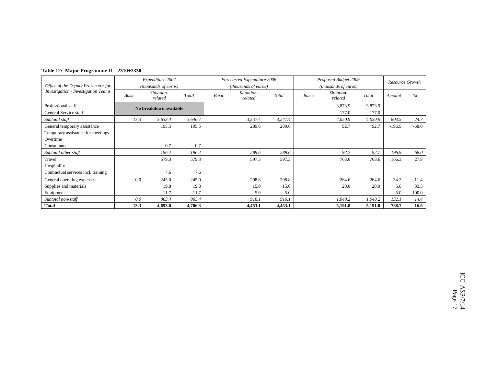|  | Table 12: Major Programme II – 2310+2330 |  |
|--|------------------------------------------|--|
|--|------------------------------------------|--|

|                                     |              | Expenditure 2007       |         |       | Forecasted Expenditure 2008 |         | Proposed Budget 2009 | Resource Growth               |         |          |          |
|-------------------------------------|--------------|------------------------|---------|-------|-----------------------------|---------|----------------------|-------------------------------|---------|----------|----------|
| Office of the Deputy Prosecutor for |              | (thousands of euros)   |         |       | (thousands of euros)        |         |                      | ( <i>thousands of euros</i> ) |         |          |          |
| Investigation / Investigation Teams | <b>Basic</b> | Situation-<br>related  | Total   | Basic | Situation-<br>related       | Total   | Basic                | Situation-<br>related         | Total   | Amount   | $\%$     |
| Professional staff                  |              | No breakdown available |         |       |                             |         |                      | 3,873.9                       | 3,873.9 |          |          |
| General Service staff               |              |                        |         |       |                             |         |                      | 177.0                         | 177.0   |          |          |
| Subtotal staff                      | 13.3         | 3,633.4                | 3,646.7 |       | 3,247.4                     | 3,247.4 |                      | 4,050.9                       | 4,050.9 | 803.5    | 24.7     |
| General temporary assistance        |              | 195.5                  | 195.5   |       | 289.6                       | 289.6   |                      | 92.7                          | 92.7    | $-196.9$ | $-68.0$  |
| Temporary assistance for meetings   |              |                        |         |       |                             |         |                      |                               |         |          |          |
| Overtime                            |              |                        |         |       |                             |         |                      |                               |         |          |          |
| Consultants                         |              | 0.7                    | 0.7     |       |                             |         |                      |                               |         |          |          |
| Subtotal other staff                |              | 196.2                  | 196.2   |       | 289.6                       | 289.6   |                      | 92.7                          | 92.7    | $-196.9$ | $-68.0$  |
| Travel                              |              | 579.3                  | 579.3   |       | 597.3                       | 597.3   |                      | 763.6                         | 763.6   | 166.3    | 27.8     |
| Hospitality                         |              |                        |         |       |                             |         |                      |                               |         |          |          |
| Contractual services incl. training |              | 7.6                    | 7.6     |       |                             |         |                      |                               |         |          |          |
| General operating expenses          | 0.0          | 245.0                  | 245.0   |       | 298.8                       | 298.8   |                      | 264.6                         | 264.6   | $-34.2$  | $-11.4$  |
| Supplies and materials              |              | 19.8                   | 19.8    |       | 15.0                        | 15.0    |                      | 20.0                          | 20.0    | 5.0      | 33.3     |
| Equipment                           |              | 11.7                   | 11.7    |       | 5.0                         | 5.0     |                      |                               |         | $-5.0$   | $-100.0$ |
| Subtotal non-staff                  | 0.0          | 863.4                  | 863.4   |       | 916.1                       | 916.1   |                      | 1,048.2                       | 1,048.2 | 132.1    | 14.4     |
| <b>Total</b>                        | 13.3         | 4,693.0                | 4,706.3 |       | 4,453.1                     | 4,453.1 |                      | 5,191.8                       | 5,191.8 | 738.7    | 16.6     |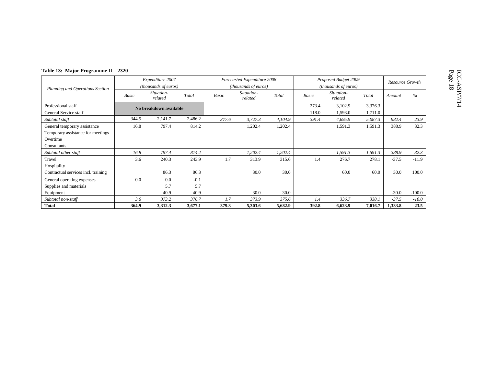| Table 13: Major Programme II – 2320 |                      |                        |         |       |                             |         |       |                       |         |                 |          |
|-------------------------------------|----------------------|------------------------|---------|-------|-----------------------------|---------|-------|-----------------------|---------|-----------------|----------|
|                                     |                      | Expenditure 2007       |         |       | Forecasted Expenditure 2008 |         |       | Proposed Budget 2009  |         | Resource Growth |          |
| Planning and Operations Section     | (thousands of euros) |                        |         |       | (thousands of euros)        |         |       | (thousands of euros)  |         |                 |          |
|                                     | Basic                | Situation-<br>related  | Total   | Basic | Situation-<br>related       | Total   | Basic | Situation-<br>related | Total   | Amount          | $\%$     |
| Professional staff                  |                      | No breakdown available |         |       |                             |         | 273.4 | 3,102.9               | 3,376.3 |                 |          |
| General Service staff               |                      |                        |         |       |                             |         | 118.0 | 1,593.0               | 1,711.0 |                 |          |
| Subtotal staff                      | 344.5                | 2,141.7                | 2,486.2 | 377.6 | 3,727.3                     | 4,104.9 | 391.4 | 4,695.9               | 5,087.3 | 982.4           | 23.9     |
| General temporary assistance        | 16.8                 | 797.4                  | 814.2   |       | 1,202.4                     | 1,202.4 |       | 1,591.3               | 1,591.3 | 388.9           | 32.3     |
| Temporary assistance for meetings   |                      |                        |         |       |                             |         |       |                       |         |                 |          |
| Overtime                            |                      |                        |         |       |                             |         |       |                       |         |                 |          |
| Consultants                         |                      |                        |         |       |                             |         |       |                       |         |                 |          |
| Subtotal other staff                | 16.8                 | 797.4                  | 814.2   |       | 1,202.4                     | 1,202.4 |       | 1,591.3               | 1,591.3 | 388.9           | 32.3     |
| Travel                              | 3.6                  | 240.3                  | 243.9   | 1.7   | 313.9                       | 315.6   | 1.4   | 276.7                 | 278.1   | $-37.5$         | $-11.9$  |
| Hospitality                         |                      |                        |         |       |                             |         |       |                       |         |                 |          |
| Contractual services incl. training |                      | 86.3                   | 86.3    |       | 30.0                        | 30.0    |       | 60.0                  | 60.0    | 30.0            | 100.0    |
| General operating expenses          | 0.0                  | 0.0                    | $-0.1$  |       |                             |         |       |                       |         |                 |          |
| Supplies and materials              |                      | 5.7                    | 5.7     |       |                             |         |       |                       |         |                 |          |
| Equipment                           |                      | 40.9                   | 40.9    |       | 30.0                        | 30.0    |       |                       |         | $-30.0$         | $-100.0$ |
| Subtotal non-staff                  | 3.6                  | 373.2                  | 376.7   | 1.7   | 373.9                       | 375.6   | 1.4   | 336.7                 | 338.1   | $-37.5$         | $-10.0$  |
| <b>Total</b>                        | 364.9                | 3,312.3                | 3,677.1 | 379.3 | 5,303.6                     | 5,682.9 | 392.8 | 6,623.9               | 7,016.7 | 1.333.8         | 23.5     |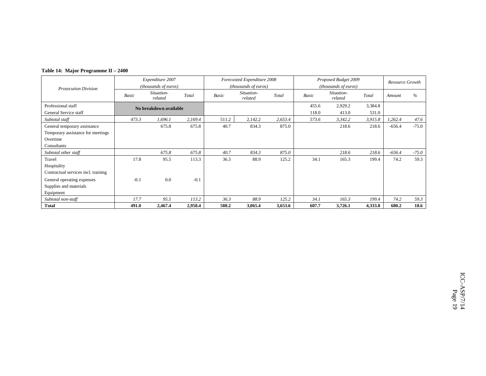| Table 14: Major Programme II – 2400 |  |
|-------------------------------------|--|
|                                     |  |

|                                     |        | Expenditure 2007       |         |       | Forecasted Expenditure 2008 |         | Proposed Budget 2009 | Resource Growth       |         |          |         |
|-------------------------------------|--------|------------------------|---------|-------|-----------------------------|---------|----------------------|-----------------------|---------|----------|---------|
| <b>Prosecution Division</b>         |        | (thousands of euros)   |         |       | (thousands of euros)        |         |                      | (thousands of euros)  |         |          |         |
|                                     | Basic  | Situation-<br>related  | Total   | Basic | Situation-<br>related       | Total   | Basic                | Situation-<br>related | Total   | Amount   | $\%$    |
| Professional staff                  |        | No breakdown available |         |       |                             |         | 455.6                | 2,929.2               | 3,384.8 |          |         |
| General Service staff               |        |                        |         |       |                             |         | 118.0                | 413.0                 | 531.0   |          |         |
| Subtotal staff                      | 473.3  | 1,696.1                | 2,169.4 | 511.2 | 2,142.2                     | 2,653.4 | 573.6                | 3,342.2               | 3,915.8 | 1,262.4  | 47.6    |
| General temporary assistance        |        | 675.8                  | 675.8   | 40.7  | 834.3                       | 875.0   |                      | 218.6                 | 218.6   | $-656.4$ | $-75.0$ |
| Temporary assistance for meetings   |        |                        |         |       |                             |         |                      |                       |         |          |         |
| Overtime                            |        |                        |         |       |                             |         |                      |                       |         |          |         |
| Consultants                         |        |                        |         |       |                             |         |                      |                       |         |          |         |
| Subtotal other staff                |        | 675.8                  | 675.8   | 40.7  | 834.3                       | 875.0   |                      | 218.6                 | 218.6   | $-656.4$ | $-75.0$ |
| Travel                              | 17.8   | 95.5                   | 113.3   | 36.3  | 88.9                        | 125.2   | 34.1                 | 165.3                 | 199.4   | 74.2     | 59.3    |
| Hospitality                         |        |                        |         |       |                             |         |                      |                       |         |          |         |
| Contractual services incl. training |        |                        |         |       |                             |         |                      |                       |         |          |         |
| General operating expenses          | $-0.1$ | 0.0                    | $-0.1$  |       |                             |         |                      |                       |         |          |         |
| Supplies and materials              |        |                        |         |       |                             |         |                      |                       |         |          |         |
| Equipment                           |        |                        |         |       |                             |         |                      |                       |         |          |         |
| Subtotal non-staff                  | 17.7   | 95.5                   | 113.2   | 36.3  | 88.9                        | 125.2   | 34.1                 | 165.3                 | 199.4   | 74.2     | 59.3    |
| <b>Total</b>                        | 491.0  | 2,467.4                | 2,958.4 | 588.2 | 3,065.4                     | 3,653.6 | 607.7                | 3,726.1               | 4,333.8 | 680.2    | 18.6    |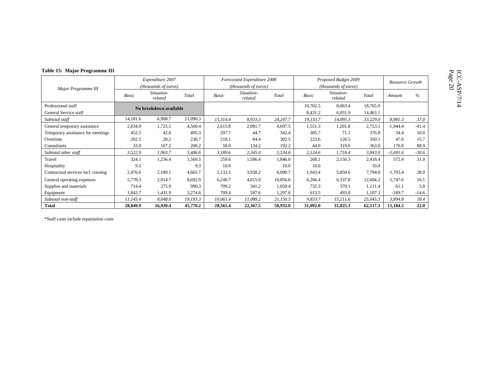|  |  | Table 15: Major Programme III |
|--|--|-------------------------------|
|--|--|-------------------------------|

| Table 15: Major Programme III       |                        |                               |          |                      |                             |          |                      |                       |          |                        |         |
|-------------------------------------|------------------------|-------------------------------|----------|----------------------|-----------------------------|----------|----------------------|-----------------------|----------|------------------------|---------|
|                                     | Expenditure 2007       |                               |          |                      | Forecasted Expenditure 2008 |          | Proposed Budget 2009 |                       |          | <b>Resource Growth</b> |         |
| Major Programme III                 |                        | ( <i>thousands of euros</i> ) |          | (thousands of euros) |                             |          | (thousands of euros) |                       |          |                        |         |
|                                     | Basic                  | Situation-<br>related         | Total    | Basic                | Situation-<br>related       | Total    | Basic                | Situation-<br>related | Total    | Amount                 | $\%$    |
| Professional staff                  | No breakdown available |                               |          |                      |                             | 10,702.5 | 8,063.4              | 18,765.9              |          |                        |         |
| General Service staff               |                        |                               |          |                      |                             |          | 8,431.2              | 6,031.9               | 14,463.1 |                        |         |
| Subtotal staff                      | 14,181.6               | 6,908.7                       | 21,090.3 | 15,314.4             | 8,933.3                     | 24,247.7 | 19,133.7             | 14,095.3              | 33,229.0 | 8,981.3                | 37.0    |
| General temporary assistance        | 2,834.9                | 1,725.5                       | 4,560.4  | 2,615.8              | 2,081.7                     | 4,697.5  | 1,551.3              | 1,201.8               | 2,753.1  | $-1,944.4$             | $-41.4$ |
| Temporary assistance for meetings   | 452.5                  | 42.8                          | 495.3    | 297.7                | 44.7                        | 342.4    | 305.7                | 71.1                  | 376.8    | 34.4                   | 10.0    |
| Overtime                            | 202.5                  | 28.2                          | 230.7    | 218.1                | 84.4                        | 302.5    | 223.6                | 126.5                 | 350.1    | 47.6                   | 15.7    |
| Consultants                         | 33.0                   | 167.2                         | 200.2    | 58.0                 | 134.2                       | 192.2    | 44.0                 | 319.0                 | 363.0    | 170.8                  | 88.9    |
| Subtotal other staff                | 3,522.9                | 1,963.7                       | 5,486.6  | 3,189.6              | 2,345.0                     | 5,534.6  | 2,124.6              | 1,718.4               | 3,843.0  | -1,691.6               | $-30.6$ |
| Travel                              | 324.1                  | 1,236.4                       | 1,560.5  | 259.6                | 1,586.4                     | 1,846.0  | 268.1                | 2,150.3               | 2,418.4  | 572.4                  | 31.0    |
| Hospitality                         | 9.3                    |                               | 9.3      | 10.0                 |                             | 10.0     | 10.0                 |                       | 10.0     |                        |         |
| Contractual services incl. training | 2,476.6                | 2,189.1                       | 4,665.7  | 2,132.5              | 3,958.2                     | 6,090.7  | 1,943.4              | 5,850.6               | 7,794.0  | 1,703.4                | 28.0    |
| General operating expenses          | 5,778.3                | 2,914.7                       | 8,692.9  | 6,240.7              | 4,615.9                     | 10,856.6 | 6,266.4              | 6,337.8               | 12,604.2 | 1,747.6                | 16.1    |
| Supplies and materials              | 714.4                  | 275.9                         | 990.3    | 709.2                | 341.2                       | 1,050.4  | 732.3                | 379.1                 | 1,111.4  | 61.1                   | 5.8     |
| Equipment                           | 1,842.7                | 1,431.9                       | 3,274.6  | 709.4                | 587.6                       | 1,297.0  | 613.5                | 493.8                 | 1,107.3  | $-189.7$               | $-14.6$ |
| Subtotal non-staff                  | 11,145.4               | 8,048.0                       | 19,193.3 | 10,061.4             | 11,089.2                    | 21,150.5 | 9,833.7              | 15,211.6              | 25,045.3 | 3,894.8                | 18.4    |
| <b>Total</b>                        | 28,849.9               | 16,920.4                      | 45,770.2 | 28,565.4             | 22,367.5                    | 50,932.8 | 31,092.0             | 31,025.3              | 62,117.3 | 11,184.5               | 22.0    |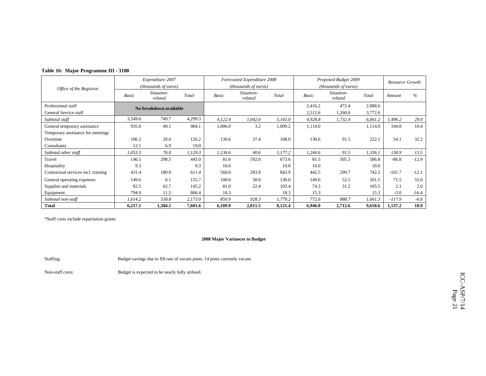| Table 16: Major Programme III - 3100 |  |  |
|--------------------------------------|--|--|
|--------------------------------------|--|--|

|                                     | Expenditure 2007 |                        |         | Forecasted Expenditure 2008 |                       |         |         | Proposed Budget 2009          |         | Resource Growth |         |
|-------------------------------------|------------------|------------------------|---------|-----------------------------|-----------------------|---------|---------|-------------------------------|---------|-----------------|---------|
| Office of the Registrar             |                  | (thousands of euros)   |         | (thousands of euros)        |                       |         |         | ( <i>thousands of euros</i> ) |         |                 |         |
|                                     | <b>Basic</b>     | Situation-<br>related  | Total   | Basic                       | Situation-<br>related | Total   | Basic   | Situation-<br>related         | Total   | Amount          | $\%$    |
| Professional staff                  |                  | No breakdown available |         |                             |                       |         | 2,416.2 | 472.4                         | 2,888.6 |                 |         |
| General Service staff               |                  |                        |         |                             |                       |         | 2,512.6 | 1,260.0                       | 3,772.6 |                 |         |
| Subtotal staff                      | 3,549.6          | 749.7                  | 4,299.3 | 4,122.4                     | 1,042.6               | 5,165.0 | 4,928.8 | 1,732.4                       | 6,661.2 | .496.2          | 29.0    |
| General temporary assistance        | 935.0            | 49.1                   | 984.1   | 1,006.0                     | 3.2                   | 1,009.2 | 1,114.0 |                               | 1,114.0 | 104.8           | 10.4    |
| Temporary assistance for meetings   |                  |                        |         |                             |                       |         |         |                               |         |                 |         |
| Overtime                            | 106.2            | 20.0                   | 126.2   | 130.6                       | 37.4                  | 168.0   | 130.6   | 91.5                          | 222.1   | 54.1            | 32.2    |
| Consultants                         | 12.1             | 6.9                    | 19.0    |                             |                       |         |         |                               |         |                 |         |
| Subtotal other staff                | 1,053.3          | 76.0                   | 1,129.3 | 1,136.6                     | 40.6                  | 1,177.2 | 1,244.6 | 91.5                          | 1,336.1 | 158.9           | 13.5    |
| Travel                              | 146.5            | 298.5                  | 445.0   | 81.6                        | 592.0                 | 673.6   | 81.5    | 505.3                         | 586.8   | $-86.8$         | $-12.9$ |
| Hospitality                         | 9.3              |                        | 9.3     | 10.0                        |                       | 10.0    | 10.0    |                               | 10.0    |                 |         |
| Contractual services incl. training | 431.4            | 180.0                  | 611.4   | 560.0                       | 283.9                 | 843.9   | 442.5   | 299.7                         | 742.2   | $-101.7$        | $-12.1$ |
| General operating expenses          | 149.6            | 6.1                    | 155.7   | 100.0                       | 30.0                  | 130.0   | 149.0   | 52.5                          | 201.5   | 71.5            | 55.0    |
| Supplies and materials              | 82.5             | 62.7                   | 145.2   | 81.0                        | 22.4                  | 103.4   | 74.3    | 31.2                          | 105.5   | 2.1             | 2.0     |
| Equipment                           | 794.9            | 11.5                   | 806.4   | 18.3                        |                       | 18.3    | 15.3    |                               | 15.3    | $-3.0$          | $-16.4$ |
| Subtotal non-staff                  | 1,614.2          | 558.8                  | 2,173.0 | 850.9                       | 928.3                 | 1,779.2 | 772.6   | 888.7                         | 1,661.3 | $-117.9$        | $-6.6$  |
| <b>Total</b>                        | 6,217.1          | 1,384.5                | 7,601.6 | 6,109.9                     | 2,011.5               | 8,121.4 | 6,946.0 | 2,712.6                       | 9,658.6 | 1,537.2         | 18.9    |

### **2008 Major Variances to Budget**

Staffing: Budget savings due to fill rate of vacant posts. 14 posts currently vacant.

Non-staff costs: Budget is expected to be nearly fully utilised.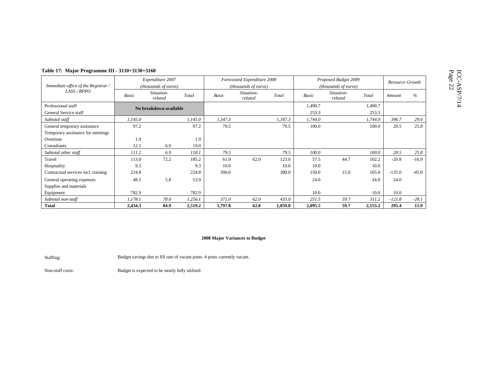| ⁄th | Page<br>22<br>Š                                                                   |
|-----|-----------------------------------------------------------------------------------|
| í   |                                                                                   |
|     | ׇ֖֖֖֖֖֖֖֖֖֧֖ׅ֖֖֖֖֖֖֖֧֖֧֦֖֧֖֧֦֧֧֧ׅ֧֧֧ׅ֧֧֧֧֧֧֧֧֧֧֧֚֚֚֚֚֚֚֚֚֚֚֚֚֚֚֚֚֚֚֚֚֚֚֚֡֬֝֓֝֓֓֝֓ |

| Table 17: Major Programme III - 3110+3130+3160 |         |                        |         |         |                             |         |                      |                       |         |                 |         |
|------------------------------------------------|---------|------------------------|---------|---------|-----------------------------|---------|----------------------|-----------------------|---------|-----------------|---------|
|                                                |         | Expenditure 2007       |         |         | Forecasted Expenditure 2008 |         | Proposed Budget 2009 |                       |         | Resource Growth |         |
| Immediate office of the Registrar /            |         | (thousands of euros)   |         |         | (thousands of euros)        |         | (thousands of euros) |                       |         |                 |         |
| LASS / RPPO                                    | Basic   | Situation-<br>related  | Total   | Basic   | Situation-<br>related       | Total   | Basic                | Situation-<br>related | Total   | Amount          | %       |
| Professional staff                             |         | No breakdown available |         |         |                             |         | 1,490.7              |                       | 1,490.7 |                 |         |
| General Service staff                          |         |                        |         |         |                             |         | 253.3                |                       | 253.3   |                 |         |
| Subtotal staff                                 | 1,145.0 |                        | 1,145.0 | 1,347.3 |                             | 1,347.3 | 1,744.0              |                       | 1,744.0 | 396.7           | 29.4    |
| General temporary assistance                   | 97.2    |                        | 97.2    | 79.5    |                             | 79.5    | 100.0                |                       | 100.0   | 20.5            | 25.8    |
| Temporary assistance for meetings              |         |                        |         |         |                             |         |                      |                       |         |                 |         |
| Overtime                                       | 1.9     |                        | 1.9     |         |                             |         |                      |                       |         |                 |         |
| Consultants                                    | 12.1    | 6.9                    | 19.0    |         |                             |         |                      |                       |         |                 |         |
| Subtotal other staff                           | 111.2   | 6.9                    | 118.1   | 79.5    |                             | 79.5    | 100.0                |                       | 100.0   | 20.5            | 25.8    |
| Travel                                         | 113.0   | 72.2                   | 185.2   | 61.0    | 62.0                        | 123.0   | 57.5                 | 44.7                  | 102.2   | $-20.8$         | $-16.9$ |
| Hospitality                                    | 9.3     |                        | 9.3     | 10.0    |                             | 10.0    | 10.0                 |                       | 10.0    |                 |         |
| Contractual services incl. training            | 224.8   |                        | 224.8   | 300.0   |                             | 300.0   | 150.0                | 15.0                  | 165.0   | $-135.0$        | $-45.0$ |
| General operating expenses                     | 48.1    | 5.8                    | 53.9    |         |                             |         | 24.0                 |                       | 24.0    | 24.0            |         |
| Supplies and materials                         |         |                        |         |         |                             |         |                      |                       |         |                 |         |
| Equipment                                      | 782.9   |                        | 782.9   |         |                             |         | 10.0                 |                       | 10.0    | 10.0            |         |
| Subtotal non-staff                             | 1,178.1 | 78.0                   | 1,256.1 | 371.0   | 62.0                        | 433.0   | 251.5                | 59.7                  | 311.2   | $-121.8$        | $-28.1$ |
| <b>Total</b>                                   | 2,434.3 | 84.9                   | 2,519.2 | 1,797.8 | 62.0                        | 1,859.8 | 2,095.5              | 59.7                  | 2,155.2 | 295.4           | 15.9    |

Staffing: Budget savings due to fill rate of vacant posts. 4 posts currently vacant.

Non-staff costs: Budget is expected to be nearly fully utilised.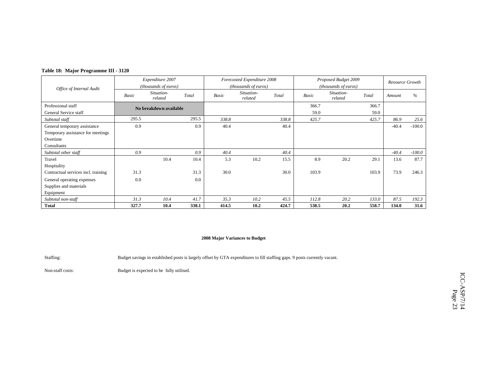| Table 18: Major Programme III - 3120 |  |
|--------------------------------------|--|
|--------------------------------------|--|

|                                     | Expenditure 2007 |                        |       |       | Forecasted Expenditure 2008 |       | Proposed Budget 2009 |                       | Resource Growth |         |          |
|-------------------------------------|------------------|------------------------|-------|-------|-----------------------------|-------|----------------------|-----------------------|-----------------|---------|----------|
| Office of Internal Audit            |                  | (thousands of euros)   |       |       | (thousands of euros)        |       |                      | (thousands of euros)  |                 |         |          |
|                                     | <b>Basic</b>     | Situation-<br>related  | Total | Basic | Situation-<br>related       | Total | <b>Basic</b>         | Situation-<br>related | Total           | Amount  | $\%$     |
| Professional staff                  |                  | No breakdown available |       |       |                             |       | 366.7                |                       | 366.7           |         |          |
| General Service staff               |                  |                        |       |       |                             |       | 59.0                 |                       | 59.0            |         |          |
| Subtotal staff                      | 295.5            |                        | 295.5 | 338.8 |                             | 338.8 | 425.7                |                       | 425.7           | 86.9    | 25.6     |
| General temporary assistance        | 0.9              |                        | 0.9   | 40.4  |                             | 40.4  |                      |                       |                 | $-40.4$ | $-100.0$ |
| Temporary assistance for meetings   |                  |                        |       |       |                             |       |                      |                       |                 |         |          |
| Overtime                            |                  |                        |       |       |                             |       |                      |                       |                 |         |          |
| Consultants                         |                  |                        |       |       |                             |       |                      |                       |                 |         |          |
| Subtotal other staff                | 0.9              |                        | 0.9   | 40.4  |                             | 40.4  |                      |                       |                 | $-40.4$ | $-100.0$ |
| Travel                              |                  | 10.4                   | 10.4  | 5.3   | 10.2                        | 15.5  | 8.9                  | 20.2                  | 29.1            | 13.6    | 87.7     |
| Hospitality                         |                  |                        |       |       |                             |       |                      |                       |                 |         |          |
| Contractual services incl. training | 31.3             |                        | 31.3  | 30.0  |                             | 30.0  | 103.9                |                       | 103.9           | 73.9    | 246.3    |
| General operating expenses          | 0.0              |                        | 0.0   |       |                             |       |                      |                       |                 |         |          |
| Supplies and materials              |                  |                        |       |       |                             |       |                      |                       |                 |         |          |
| Equipment                           |                  |                        |       |       |                             |       |                      |                       |                 |         |          |
| Subtotal non-staff                  | 31.3             | 10.4                   | 41.7  | 35.3  | 10.2                        | 45.5  | 112.8                | 20.2                  | 133.0           | 87.5    | 192.3    |
| <b>Total</b>                        | 327.7            | 10.4                   | 338.1 | 414.5 | 10.2                        | 424.7 | 538.5                | 20.2                  | 558.7           | 134.0   | 31.6     |

Staffing: Budget savings in established posts is largely offset by GTA expenditures to fill staffing gaps. 9 posts currently vacant.

Non-staff costs: Budget is expected to be fully utilised.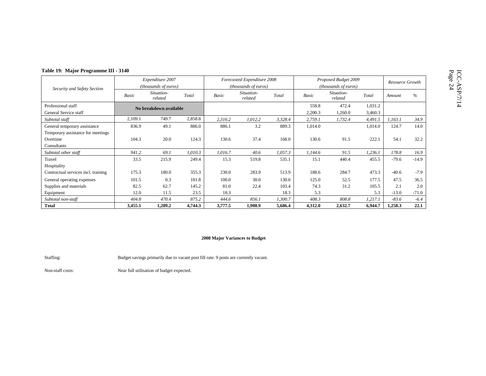|  | Table 19: Major Programme III - 3140 |  |  |
|--|--------------------------------------|--|--|
|--|--------------------------------------|--|--|

| Table 19: Major Programme III - 3140        |         |                                                   |         |         |                                                     |         |                  |                                              |                    |         |                 |
|---------------------------------------------|---------|---------------------------------------------------|---------|---------|-----------------------------------------------------|---------|------------------|----------------------------------------------|--------------------|---------|-----------------|
| Security and Safety Section                 |         | Expenditure 2007<br>( <i>thousands of euros</i> ) |         |         | Forecasted Expenditure 2008<br>(thousands of euros) |         |                  | Proposed Budget 2009<br>(thousands of euros) |                    |         | Resource Growth |
|                                             | Basic   | Situation-<br>related                             | Total   | Basic   | Situation-<br>related                               | Total   | Basic            | Situation-<br>related                        | Total              | Amount  | $\%$            |
| Professional staff<br>General Service staff |         | No breakdown available                            |         |         |                                                     |         | 558.8<br>2,200.3 | 472.4<br>1,260.0                             | 1,031.2<br>3,460.3 |         |                 |
| Subtotal staff                              | 2,109.1 | 749.7                                             | 2,858.8 | 2,316.2 | 1,012.2                                             | 3,328.4 | 2,759.1          | 1,732.4                                      | 4,491.5            | 1,163.1 | 34.9            |
| General temporary assistance                | 836.9   | 49.1                                              | 886.0   | 886.1   | 3.2                                                 | 889.3   | 1,014.0          |                                              | 1,014.0            | 124.7   | 14.0            |
| Temporary assistance for meetings           |         |                                                   |         |         |                                                     |         |                  |                                              |                    |         |                 |
| Overtime                                    | 104.3   | 20.0                                              | 124.3   | 130.6   | 37.4                                                | 168.0   | 130.6            | 91.5                                         | 222.1              | 54.1    | 32.2            |
| Consultants                                 |         |                                                   |         |         |                                                     |         |                  |                                              |                    |         |                 |
| Subtotal other staff                        | 941.2   | 69.1                                              | 1,010.3 | 1,016.7 | 40.6                                                | 1,057.3 | 1,144.6          | 91.5                                         | 1,236.1            | 178.8   | 16.9            |
| Travel                                      | 33.5    | 215.9                                             | 249.4   | 15.3    | 519.8                                               | 535.1   | 15.1             | 440.4                                        | 455.5              | $-79.6$ | $-14.9$         |
| Hospitality                                 |         |                                                   |         |         |                                                     |         |                  |                                              |                    |         |                 |
| Contractual services incl. training         | 175.3   | 180.0                                             | 355.3   | 230.0   | 283.9                                               | 513.9   | 188.6            | 284.7                                        | 473.3              | $-40.6$ | $-7.9$          |
| General operating expenses                  | 101.5   | 0.3                                               | 101.8   | 100.0   | 30.0                                                | 130.0   | 125.0            | 52.5                                         | 177.5              | 47.5    | 36.5            |
| Supplies and materials                      | 82.5    | 62.7                                              | 145.2   | 81.0    | 22.4                                                | 103.4   | 74.3             | 31.2                                         | 105.5              | 2.1     | 2.0             |
| Equipment                                   | 12.0    | 11.5                                              | 23.5    | 18.3    |                                                     | 18.3    | 5.3              |                                              | 5.3                | $-13.0$ | $-71.0$         |
| Subtotal non-staff                          | 404.8   | 470.4                                             | 875.2   | 444.6   | 856.1                                               | 1,300.7 | 408.3            | 808.8                                        | 1,217.1            | $-83.6$ | $-6.4$          |
| <b>Total</b>                                | 3,455.1 | 1,289.2                                           | 4,744.3 | 3,777.5 | 1,908.9                                             | 5,686.4 | 4,312.0          | 2,632.7                                      | 6,944.7            | 1,258.3 | 22.1            |

Staffing: Budget savings primarily due to vacant post fill rate. 9 posts are currently vacant.

Non-staff costs: Near full utilisation of budget expected.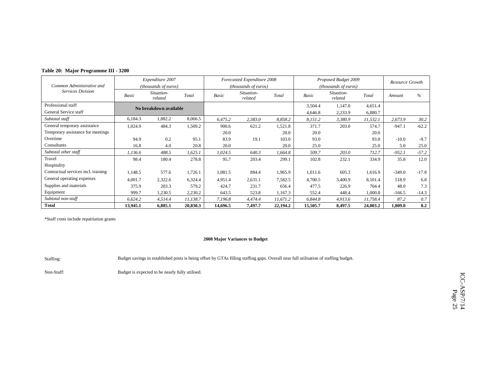|  |  |  | Table 20: Major Programme III - 3200 |  |
|--|--|--|--------------------------------------|--|
|--|--|--|--------------------------------------|--|

|                                     | Expenditure 2007              |                        |          | Forecasted Expenditure 2008 |                               |          |          | Proposed Budget 2009          |          | Resource Growth |               |
|-------------------------------------|-------------------------------|------------------------|----------|-----------------------------|-------------------------------|----------|----------|-------------------------------|----------|-----------------|---------------|
| Common Administrative and           | ( <i>thousands of euros</i> ) |                        |          |                             | ( <i>thousands of euros</i> ) |          |          | ( <i>thousands of euros</i> ) |          |                 |               |
| <b>Services Division</b>            | Basic                         | Situation-<br>related  | Total    | Basic                       | Situation-<br>related         | Total    | Basic    | Situation-<br>related         | Total    | Amount          | $\frac{0}{6}$ |
| Professional staff                  |                               | No breakdown available |          |                             |                               |          | 3,504.4  | 1,147.0                       | 4,651.4  |                 |               |
| General Service staff               |                               |                        |          |                             |                               |          | 4,646.8  | 2,233.9                       | 6,880.7  |                 |               |
| Subtotal staff                      | 6,184.3                       | 1,882.2                | 8,066.5  | 6,475.2                     | 2,383.0                       | 8,858.2  | 8,151.2  | 3,380.9                       | 11,532.1 | 2,673.9         | 30.2          |
| General temporary assistance        | 1,024.9                       | 484.3                  | 1,509.2  | 900.6                       | 621.2                         | 1,521.8  | 371.7    | 203.0                         | 574.7    | $-947.1$        | $-62.2$       |
| Temporary assistance for meetings   |                               |                        |          | 20.0                        |                               | 20.0     | 20.0     |                               | 20.0     |                 |               |
| Overtime                            | 94.9                          | 0.2                    | 95.1     | 83.9                        | 19.1                          | 103.0    | 93.0     |                               | 93.0     | $-10.0$         | $-9.7$        |
| Consultants                         | 16.8                          | 4.0                    | 20.8     | 20.0                        |                               | 20.0     | 25.0     |                               | 25.0     | 5.0             | 25.0          |
| Subtotal other staff                | 1,136.6                       | 488.5                  | 1,625.1  | 1,024.5                     | 640.3                         | 1,664.8  | 509.7    | 203.0                         | 712.7    | $-952.1$        | $-57.2$       |
| Travel                              | 98.4                          | 180.4                  | 278.8    | 95.7                        | 203.4                         | 299.1    | 102.8    | 232.1                         | 334.9    | 35.8            | 12.0          |
| Hospitality                         |                               |                        |          |                             |                               |          |          |                               |          |                 |               |
| Contractual services incl. training | 1,148.5                       | 577.6                  | 1,726.1  | 1,081.5                     | 884.4                         | 1,965.9  | 1,011.6  | 605.3                         | 1,616.9  | $-349.0$        | $-17.8$       |
| General operating expenses          | 4,001.7                       | 2,322.6                | 6,324.4  | 4,951.4                     | 2,631.1                       | 7,582.5  | 4,700.5  | 3,400.9                       | 8,101.4  | 518.9           | 6.8           |
| Supplies and materials              | 375.9                         | 203.3                  | 579.2    | 424.7                       | 231.7                         | 656.4    | 477.5    | 226.9                         | 704.4    | 48.0            | 7.3           |
| Equipment                           | 999.7                         | 1,230.5                | 2,230.2  | 643.5                       | 523.8                         | 1,167.3  | 552.4    | 448.4                         | 1,000.8  | $-166.5$        | $-14.3$       |
| Subtotal non-staff                  | 6,624.2                       | 4,514.4                | 11,138.7 | 7,196.8                     | 4,474.4                       | 11,671.2 | 6,844.8  | 4,913.6                       | 11,758.4 | 87.2            | 0.7           |
| <b>Total</b>                        | 13,945.1                      | 6,885.1                | 20,830.3 | 14,696.5                    | 7,497.7                       | 22,194.2 | 15,505.7 | 8,497.5                       | 24,003.2 | 1,809.0         | 8.2           |

### **2008 Major Variances to Budget**

Staffing: Budget savings in established posts is being offset by GTAs filling staffing gaps. Overall near full utilisation of staffing budget.

Non-Staff: Budget is expected to be nearly fully utilised.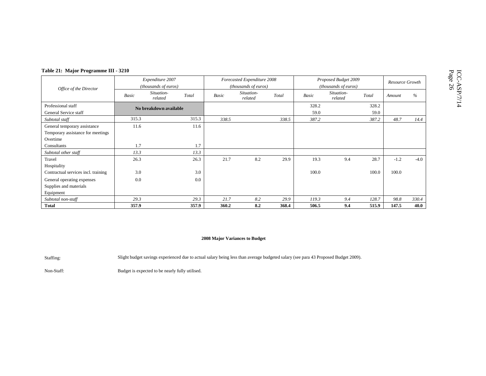| Table 21: Major Programme III - 3210                                          |       |                                          |       |       |                                                     |       |               |                                              |               |        |                 |
|-------------------------------------------------------------------------------|-------|------------------------------------------|-------|-------|-----------------------------------------------------|-------|---------------|----------------------------------------------|---------------|--------|-----------------|
| Office of the Director                                                        |       | Expenditure 2007<br>(thousands of euros) |       |       | Forecasted Expenditure 2008<br>(thousands of euros) |       |               | Proposed Budget 2009<br>(thousands of euros) |               |        | Resource Growth |
|                                                                               | Basic | Situation-<br>related                    | Total | Basic | Situation-<br>related                               | Total | Basic         | Situation-<br>related                        | Total         | Amount | $\%$            |
| Professional staff<br>General Service staff                                   |       | No breakdown available                   |       |       |                                                     |       | 328.2<br>59.0 |                                              | 328.2<br>59.0 |        |                 |
| Subtotal staff                                                                | 315.3 |                                          | 315.3 | 338.5 |                                                     | 338.5 | 387.2         |                                              | 387.2         | 48.7   | 14.4            |
| General temporary assistance<br>Temporary assistance for meetings<br>Overtime | 11.6  |                                          | 11.6  |       |                                                     |       |               |                                              |               |        |                 |
| Consultants                                                                   | 1.7   |                                          | 1.7   |       |                                                     |       |               |                                              |               |        |                 |
| Subtotal other staff                                                          | 13.3  |                                          | 13.3  |       |                                                     |       |               |                                              |               |        |                 |
| Travel<br>Hospitality                                                         | 26.3  |                                          | 26.3  | 21.7  | 8.2                                                 | 29.9  | 19.3          | 9.4                                          | 28.7          | $-1.2$ | $-4.0$          |
| Contractual services incl. training                                           | 3.0   |                                          | 3.0   |       |                                                     |       | 100.0         |                                              | 100.0         | 100.0  |                 |
| General operating expenses<br>Supplies and materials<br>Equipment             | 0.0   |                                          | 0.0   |       |                                                     |       |               |                                              |               |        |                 |
| Subtotal non-staff                                                            | 29.3  |                                          | 29.3  | 21.7  | 8.2                                                 | 29.9  | 119.3         | 9.4                                          | 128.7         | 98.8   | 330.4           |
| <b>Total</b>                                                                  | 357.9 |                                          | 357.9 | 360.2 | 8.2                                                 | 368.4 | 506.5         | 9.4                                          | 515.9         | 147.5  | 40.0            |

Staffing: Slight budget savings experienced due to actual salary being less than average budgeted salary (see para 43 Proposed Budget 2009).

Non-Staff: Budget is expected to be nearly fully utilised.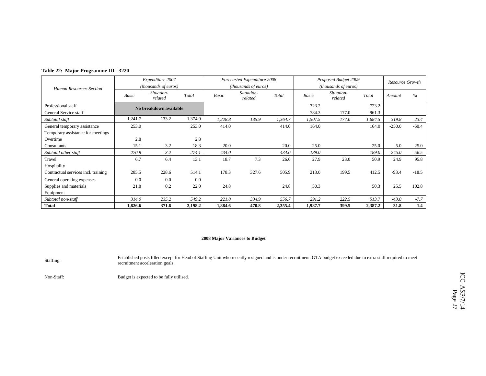|  |  | Table 22: Major Programme III - 3220 |  |  |
|--|--|--------------------------------------|--|--|
|--|--|--------------------------------------|--|--|

|                                     |              | Expenditure 2007       |         |         | Forecasted Expenditure 2008 |         |              | Proposed Budget 2009  |         | Resource Growth |         |
|-------------------------------------|--------------|------------------------|---------|---------|-----------------------------|---------|--------------|-----------------------|---------|-----------------|---------|
| <b>Human Resources Section</b>      |              | (thousands of euros)   |         |         | (thousands of euros)        |         |              | (thousands of euros)  |         |                 |         |
|                                     | <b>Basic</b> | Situation-<br>related  | Total   | Basic   | Situation-<br>related       | Total   | <b>Basic</b> | Situation-<br>related | Total   | Amount          | $\%$    |
| Professional staff                  |              | No breakdown available |         |         |                             |         | 723.2        |                       | 723.2   |                 |         |
| General Service staff               |              |                        |         |         |                             |         | 784.3        | 177.0                 | 961.3   |                 |         |
| Subtotal staff                      | 1,241.7      | 133.2                  | 1,374.9 | 1,228.8 | 135.9                       | 1,364.7 | 1,507.5      | 177.0                 | 1,684.5 | 319.8           | 23.4    |
| General temporary assistance        | 253.0        |                        | 253.0   | 414.0   |                             | 414.0   | 164.0        |                       | 164.0   | $-250.0$        | $-60.4$ |
| Temporary assistance for meetings   |              |                        |         |         |                             |         |              |                       |         |                 |         |
| Overtime                            | 2.8          |                        | 2.8     |         |                             |         |              |                       |         |                 |         |
| Consultants                         | 15.1         | 3.2                    | 18.3    | 20.0    |                             | 20.0    | 25.0         |                       | 25.0    | 5.0             | 25.0    |
| Subtotal other staff                | 270.9        | 3.2                    | 274.1   | 434.0   |                             | 434.0   | 189.0        |                       | 189.0   | $-245.0$        | $-56.5$ |
| Travel                              | 6.7          | 6.4                    | 13.1    | 18.7    | 7.3                         | 26.0    | 27.9         | 23.0                  | 50.9    | 24.9            | 95.8    |
| Hospitality                         |              |                        |         |         |                             |         |              |                       |         |                 |         |
| Contractual services incl. training | 285.5        | 228.6                  | 514.1   | 178.3   | 327.6                       | 505.9   | 213.0        | 199.5                 | 412.5   | $-93.4$         | $-18.5$ |
| General operating expenses          | 0.0          | 0.0                    | 0.0     |         |                             |         |              |                       |         |                 |         |
| Supplies and materials              | 21.8         | 0.2                    | 22.0    | 24.8    |                             | 24.8    | 50.3         |                       | 50.3    | 25.5            | 102.8   |
| Equipment                           |              |                        |         |         |                             |         |              |                       |         |                 |         |
| Subtotal non-staff                  | 314.0        | 235.2                  | 549.2   | 221.8   | 334.9                       | 556.7   | 291.2        | 222.5                 | 513.7   | $-43.0$         | $-7.7$  |
| <b>Total</b>                        | 1,826.6      | 371.6                  | 2,198.2 | 1,884.6 | 470.8                       | 2,355.4 | 1,987.7      | 399.5                 | 2,387.2 | 31.8            | 1.4     |

Staffing: Established posts filled except for Head of Staffing Unit who recently resigned and is under recruitment. GTA budget exceeded due to extra staff required to meet recruitment acceleration goals.

Non-Staff: Budget is expected to be fully utilised.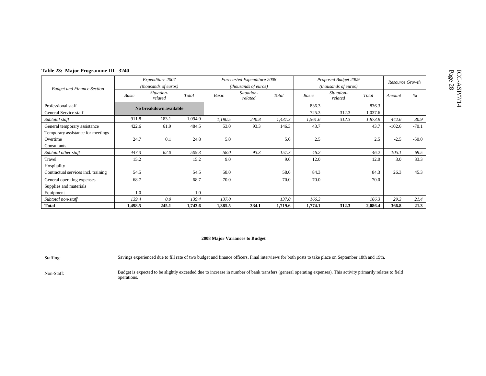| Table 23: Major Programme III - 3240 |       |                        |         |                      |                             |         |                      |                       |         |                 |         |
|--------------------------------------|-------|------------------------|---------|----------------------|-----------------------------|---------|----------------------|-----------------------|---------|-----------------|---------|
|                                      |       | Expenditure 2007       |         |                      | Forecasted Expenditure 2008 |         |                      | Proposed Budget 2009  |         |                 |         |
| <b>Budget and Finance Section</b>    |       | (thousands of euros)   |         | (thousands of euros) |                             |         | (thousands of euros) |                       |         | Resource Growth |         |
|                                      | Basic | Situation-<br>related  | Total   | Basic                | Situation-<br>related       | Total   | Basic                | Situation-<br>related | Total   | Amount          | %       |
| Professional staff                   |       | No breakdown available |         |                      |                             |         | 836.3                |                       | 836.3   |                 |         |
| General Service staff                |       |                        |         |                      |                             |         | 725.3                | 312.3                 | 1,037.6 |                 |         |
| Subtotal staff                       | 911.8 | 183.1                  | 1,094.9 | 1,190.5              | 240.8                       | 1,431.3 | 1,561.6              | 312.3                 | 1,873.9 | 442.6           | 30.9    |
| General temporary assistance         | 422.6 | 61.9                   | 484.5   | 53.0                 | 93.3                        | 146.3   | 43.7                 |                       | 43.7    | $-102.6$        | $-70.1$ |
| Temporary assistance for meetings    |       |                        |         |                      |                             |         |                      |                       |         |                 |         |
| Overtime                             | 24.7  | 0.1                    | 24.8    | 5.0                  |                             | 5.0     | 2.5                  |                       | 2.5     | $-2.5$          | $-50.0$ |
| Consultants                          |       |                        |         |                      |                             |         |                      |                       |         |                 |         |
| Subtotal other staff                 | 447.3 | 62.0                   | 509.3   | 58.0                 | 93.3                        | 151.3   | 46.2                 |                       | 46.2    | $-105.1$        | $-69.5$ |
| Travel                               | 15.2  |                        | 15.2    | 9.0                  |                             | 9.0     | 12.0                 |                       | 12.0    | 3.0             | 33.3    |

Equipment 1.0 1.0 1.0

Hospitality

Supplies and materials

### **2008 Major Variances to Budget**

Contractual services incl. training 54.5 58.0 58.0 58.0 58.0 84.3 84.3 26.3 45.3

*Subtotal non-staff 139.4 0.0 139.4 137.0 137.0 166.3 166.3 29.3 21.4* 

**Total 1,498.5 245.1 1,743.6 1,385.5 334.1 1,719.6 1,774.1 312.3 2,086.4 366.8 21.3** 

General operating expenses 68.7 68.7 68.7 68.7 70.0 70.0 70.0 70.0 70.0 70.0 70.0

Staffing: Savings experienced due to fill rate of two budget and finance officers. Final interviews for both posts to take place on September 18th and 19th.

Non-Staff: Budget is expected to be slightly exceeded due to increase in number of bank transfers (general operating expenses). This activity primarily relates to field operations.

21.3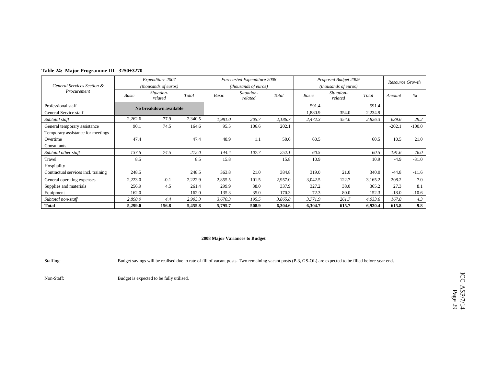|  |  |  |  | Table 24: Major Programme III - 3250+3270 |
|--|--|--|--|-------------------------------------------|
|--|--|--|--|-------------------------------------------|

|                                     |              | Expenditure 2007       |         |         | Forecasted Expenditure 2008 |         | Proposed Budget 2009 | Resource Growth       |         |          |          |
|-------------------------------------|--------------|------------------------|---------|---------|-----------------------------|---------|----------------------|-----------------------|---------|----------|----------|
| General Services Section &          |              | (thousands of euros)   |         |         | (thousands of euros)        |         |                      | (thousands of euros)  |         |          |          |
| Procurement                         | <b>Basic</b> | Situation-<br>related  | Total   | Basic   | Situation-<br>related       | Total   | Basic                | Situation-<br>related | Total   | Amount   | $\%$     |
| Professional staff                  |              | No breakdown available |         |         |                             |         | 591.4                |                       | 591.4   |          |          |
| General Service staff               |              |                        |         |         |                             |         | 1,880.9              | 354.0                 | 2,234.9 |          |          |
| Subtotal staff                      | 2,262.6      | 77.9                   | 2,340.5 | 1,981.0 | 205.7                       | 2,186.7 | 2,472.3              | 354.0                 | 2,826.3 | 639.6    | 29.2     |
| General temporary assistance        | 90.1         | 74.5                   | 164.6   | 95.5    | 106.6                       | 202.1   |                      |                       |         | $-202.1$ | $-100.0$ |
| Temporary assistance for meetings   |              |                        |         |         |                             |         |                      |                       |         |          |          |
| Overtime                            | 47.4         |                        | 47.4    | 48.9    | 1.1                         | 50.0    | 60.5                 |                       | 60.5    | 10.5     | 21.0     |
| Consultants                         |              |                        |         |         |                             |         |                      |                       |         |          |          |
| Subtotal other staff                | 137.5        | 74.5                   | 212.0   | 144.4   | 107.7                       | 252.1   | 60.5                 |                       | 60.5    | $-191.6$ | $-76.0$  |
| Travel                              | 8.5          |                        | 8.5     | 15.8    |                             | 15.8    | 10.9                 |                       | 10.9    | $-4.9$   | $-31.0$  |
| Hospitality                         |              |                        |         |         |                             |         |                      |                       |         |          |          |
| Contractual services incl. training | 248.5        |                        | 248.5   | 363.8   | 21.0                        | 384.8   | 319.0                | 21.0                  | 340.0   | $-44.8$  | $-11.6$  |
| General operating expenses          | 2,223.0      | $-0.1$                 | 2,222.9 | 2,855.5 | 101.5                       | 2,957.0 | 3,042.5              | 122.7                 | 3,165.2 | 208.2    | 7.0      |
| Supplies and materials              | 256.9        | 4.5                    | 261.4   | 299.9   | 38.0                        | 337.9   | 327.2                | 38.0                  | 365.2   | 27.3     | 8.1      |
| Equipment                           | 162.0        |                        | 162.0   | 135.3   | 35.0                        | 170.3   | 72.3                 | 80.0                  | 152.3   | $-18.0$  | $-10.6$  |
| Subtotal non-staff                  | 2,898.9      | 4.4                    | 2,903.3 | 3,670.3 | 195.5                       | 3,865.8 | 3,771.9              | 261.7                 | 4,033.6 | 167.8    | 4.3      |
| <b>Total</b>                        | 5,299.0      | 156.8                  | 5,455.8 | 5,795.7 | 508.9                       | 6,304.6 | 6,304.7              | 615.7                 | 6,920.4 | 615.8    | 9.8      |

Staffing: Budget savings will be realised due to rate of fill of vacant posts. Two remaining vacant posts (P-3, GS-OL) are expected to be filled before year end.

Non-Staff: Budget is expected to be fully utilised.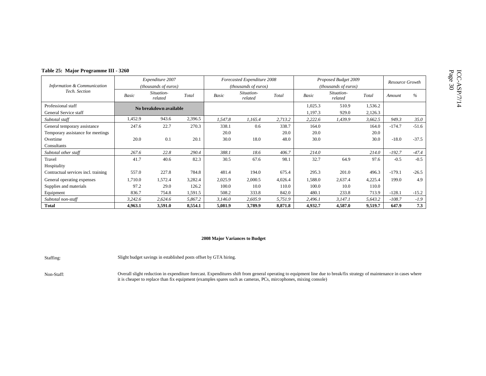| Page<br>ىت<br>5 |  |
|-----------------|--|
|                 |  |

| Table 25: Major Programme III - 3260 |                      |                        |         |                      |                             |         |                      |                       |         |                 |         |
|--------------------------------------|----------------------|------------------------|---------|----------------------|-----------------------------|---------|----------------------|-----------------------|---------|-----------------|---------|
|                                      |                      | Expenditure 2007       |         |                      | Forecasted Expenditure 2008 |         |                      | Proposed Budget 2009  |         | Resource Growth |         |
| Information & Communication          | (thousands of euros) |                        |         | (thousands of euros) |                             |         | (thousands of euros) |                       |         |                 |         |
| Tech. Section                        | Basic                | Situation-<br>related  | Total   | Basic                | Situation-<br>related       | Total   | Basic                | Situation-<br>related | Total   | Amount          | $\%$    |
| Professional staff                   |                      | No breakdown available |         |                      |                             |         | 1,025.3              | 510.9                 | 1,536.2 |                 |         |
| General Service staff                |                      |                        |         |                      |                             |         | 1,197.3              | 929.0                 | 2,126.3 |                 |         |
| Subtotal staff                       | 1,452.9              | 943.6                  | 2,396.5 | 1,547.8              | 1,165.4                     | 2,713.2 | 2,222.6              | 1,439.9               | 3,662.5 | 949.3           | 35.0    |
| General temporary assistance         | 247.6                | 22.7                   | 270.3   | 338.1                | 0.6                         | 338.7   | 164.0                |                       | 164.0   | $-174.7$        | $-51.6$ |
| Temporary assistance for meetings    |                      |                        |         | 20.0                 |                             | 20.0    | 20.0                 |                       | 20.0    |                 |         |
| Overtime                             | 20.0                 | 0.1                    | 20.1    | 30.0                 | 18.0                        | 48.0    | 30.0                 |                       | 30.0    | $-18.0$         | $-37.5$ |
| Consultants                          |                      |                        |         |                      |                             |         |                      |                       |         |                 |         |
| Subtotal other staff                 | 267.6                | 22.8                   | 290.4   | 388.1                | 18.6                        | 406.7   | 214.0                |                       | 214.0   | $-192.7$        | $-47.4$ |
| Travel                               | 41.7                 | 40.6                   | 82.3    | 30.5                 | 67.6                        | 98.1    | 32.7                 | 64.9                  | 97.6    | $-0.5$          | $-0.5$  |
| Hospitality                          |                      |                        |         |                      |                             |         |                      |                       |         |                 |         |
| Contractual services incl. training  | 557.0                | 227.8                  | 784.8   | 481.4                | 194.0                       | 675.4   | 295.3                | 201.0                 | 496.3   | $-179.1$        | $-26.5$ |
| General operating expenses           | 1,710.0              | 1,572.4                | 3,282.4 | 2,025.9              | 2,000.5                     | 4,026.4 | 1,588.0              | 2,637.4               | 4,225.4 | 199.0           | 4.9     |
| Supplies and materials               | 97.2                 | 29.0                   | 126.2   | 100.0                | 10.0                        | 110.0   | 100.0                | 10.0                  | 110.0   |                 |         |
| Equipment                            | 836.7                | 754.8                  | 1,591.5 | 508.2                | 333.8                       | 842.0   | 480.1                | 233.8                 | 713.9   | $-128.1$        | $-15.2$ |
| Subtotal non-staff                   | 3,242.6              | 2,624.6                | 5,867.2 | 3,146.0              | 2,605.9                     | 5,751.9 | 2,496.1              | 3,147.1               | 5,643.2 | $-108.7$        | $-1.9$  |
| <b>Total</b>                         | 4,963.1              | 3,591.0                | 8,554.1 | 5,081.9              | 3,789.9                     | 8,871.8 | 4,932.7              | 4,587.0               | 9,519.7 | 647.9           | 7.3     |

Staffing: Slight budget savings in established posts offset by GTA hiring.

Non-Staff:<br>it is cheaper to replace than fix equipment (examples spares such as cameras, PCs, mircophones, mixing console)<br>it is cheaper to replace than fix equipment (examples spares such as cameras, PCs, mircophones, mix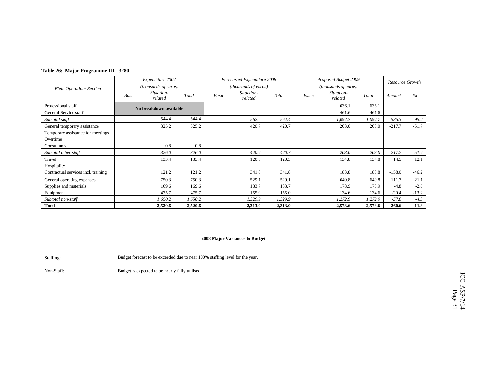|  |  | Table 26: Major Programme III - 3280 |  |  |
|--|--|--------------------------------------|--|--|
|--|--|--------------------------------------|--|--|

|                                     |       | Expenditure 2007       |         |       | Forecasted Expenditure 2008 |         | Proposed Budget 2009 |                               | Resource Growth |          |         |
|-------------------------------------|-------|------------------------|---------|-------|-----------------------------|---------|----------------------|-------------------------------|-----------------|----------|---------|
| <b>Field Operations Section</b>     |       | (thousands of euros)   |         |       | (thousands of euros)        |         |                      | ( <i>thousands of euros</i> ) |                 |          |         |
|                                     | Basic | Situation-<br>related  | Total   | Basic | Situation-<br>related       | Total   | Basic                | Situation-<br>related         | Total           | Amount   | $\%$    |
| Professional staff                  |       | No breakdown available |         |       |                             |         |                      | 636.1                         | 636.1           |          |         |
| General Service staff               |       |                        |         |       |                             |         |                      | 461.6                         | 461.6           |          |         |
| Subtotal staff                      |       | 544.4                  | 544.4   |       | 562.4                       | 562.4   |                      | 1,097.7                       | 1,097.7         | 535.3    | 95.2    |
| General temporary assistance        |       | 325.2                  | 325.2   |       | 420.7                       | 420.7   |                      | 203.0                         | 203.0           | $-217.7$ | $-51.7$ |
| Temporary assistance for meetings   |       |                        |         |       |                             |         |                      |                               |                 |          |         |
| Overtime                            |       |                        |         |       |                             |         |                      |                               |                 |          |         |
| Consultants                         |       | 0.8                    | 0.8     |       |                             |         |                      |                               |                 |          |         |
| Subtotal other staff                |       | 326.0                  | 326.0   |       | 420.7                       | 420.7   |                      | 203.0                         | 203.0           | $-217.7$ | $-51.7$ |
| Travel                              |       | 133.4                  | 133.4   |       | 120.3                       | 120.3   |                      | 134.8                         | 134.8           | 14.5     | 12.1    |
| Hospitality                         |       |                        |         |       |                             |         |                      |                               |                 |          |         |
| Contractual services incl. training |       | 121.2                  | 121.2   |       | 341.8                       | 341.8   |                      | 183.8                         | 183.8           | $-158.0$ | $-46.2$ |
| General operating expenses          |       | 750.3                  | 750.3   |       | 529.1                       | 529.1   |                      | 640.8                         | 640.8           | 111.7    | 21.1    |
| Supplies and materials              |       | 169.6                  | 169.6   |       | 183.7                       | 183.7   |                      | 178.9                         | 178.9           | $-4.8$   | $-2.6$  |
| Equipment                           |       | 475.7                  | 475.7   |       | 155.0                       | 155.0   |                      | 134.6                         | 134.6           | $-20.4$  | $-13.2$ |
| Subtotal non-staff                  |       | 1,650.2                | 1,650.2 |       | 1,329.9                     | 1,329.9 |                      | 1,272.9                       | 1,272.9         | $-57.0$  | $-4.3$  |
| <b>Total</b>                        |       | 2,520.6                | 2,520.6 |       | 2,313.0                     | 2,313.0 |                      | 2,573.6                       | 2,573.6         | 260.6    | 11.3    |

Staffing: Budget forecast to be exceeded due to near 100% staffing level for the year.

Non-Staff: Budget is expected to be nearly fully utilised.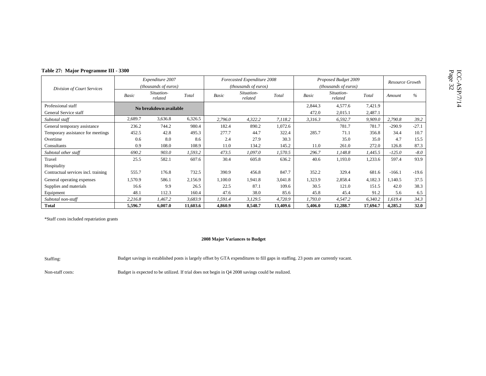| wth | Page 32 |           |
|-----|---------|-----------|
| %   |         | ASP)<br>⊃ |
|     |         |           |

| Table 27: Major Programme III - 3300        |                                          |                        |          |                                         |                                                     |          |                  |                                                     |                    |          |                 |
|---------------------------------------------|------------------------------------------|------------------------|----------|-----------------------------------------|-----------------------------------------------------|----------|------------------|-----------------------------------------------------|--------------------|----------|-----------------|
|                                             | Expenditure 2007<br>(thousands of euros) |                        |          |                                         | Forecasted Expenditure 2008<br>(thousands of euros) |          |                  | Proposed Budget 2009<br><i>(thousands of euros)</i> |                    |          | Resource Growth |
| Division of Court Services                  | Situation-<br>Total<br>Basic<br>related  |                        |          | Situation-<br>Basic<br>Total<br>related |                                                     |          | Basic            | Situation-<br>Total<br>related                      |                    | Amount   | $\%$            |
| Professional staff<br>General Service staff |                                          | No breakdown available |          |                                         |                                                     |          | 2,844.3<br>472.0 | 4,577.6<br>2,015.1                                  | 7,421.9<br>2,487.1 |          |                 |
| Subtotal staff                              | 2,689.7                                  | 3,636.8                | 6,326.5  | 2,796.0                                 | 4,322.2                                             | 7,118.2  | 3,316.3          | 6,592.7                                             | 9,909.0            | 2,790.8  | 39.2            |
| General temporary assistance                | 236.2                                    | 744.2                  | 980.4    | 182.4                                   | 890.2                                               | 1,072.6  |                  | 781.7                                               | 781.7              | $-290.9$ | $-27.1$         |
| Temporary assistance for meetings           | 452.5                                    | 42.8                   | 495.3    | 277.7                                   | 44.7                                                | 322.4    | 285.7            | 71.1                                                | 356.8              | 34.4     | 10.7            |
| Overtime                                    | 0.6                                      | 8.0                    | 8.6      | 2.4                                     | 27.9                                                | 30.3     |                  | 35.0                                                | 35.0               | 4.7      | 15.5            |
| Consultants                                 | 0.9                                      | 108.0                  | 108.9    | 11.0                                    | 134.2                                               | 145.2    | 11.0             | 261.0                                               | 272.0              | 126.8    | 87.3            |
| Subtotal other staff                        | 690.2                                    | 903.0                  | 1,593.2  | 473.5                                   | 1,097.0                                             | 1,570.5  | 296.7            | 1,148.8                                             | 1,445.5            | $-125.0$ | $-8.0$          |
| Travel<br>Hospitality                       | 25.5                                     | 582.1                  | 607.6    | 30.4                                    | 605.8                                               | 636.2    | 40.6             | 1,193.0                                             | 1,233.6            | 597.4    | 93.9            |
| Contractual services incl. training         | 555.7                                    | 176.8                  | 732.5    | 390.9                                   | 456.8                                               | 847.7    | 352.2            | 329.4                                               | 681.6              | $-166.1$ | $-19.6$         |
| General operating expenses                  | 1,570.9                                  | 586.1                  | 2,156.9  | 1,100.0                                 | 1,941.8                                             | 3,041.8  | 1,323.9          | 2,858.4                                             | 4,182.3            | ,140.5   | 37.5            |
| Supplies and materials                      | 16.6                                     | 9.9                    | 26.5     | 22.5                                    | 87.1                                                | 109.6    | 30.5             | 121.0                                               | 151.5              | 42.0     | 38.3            |
| Equipment                                   | 48.1                                     | 112.3                  | 160.4    | 47.6                                    | 38.0                                                | 85.6     | 45.8             | 45.4                                                | 91.2               | 5.6      | 6.5             |
| Subtotal non-staff                          | 2,216.8                                  | 1,467.2                | 3,683.9  | 1,591.4                                 | 3,129.5                                             | 4,720.9  | 1,793.0          | 4,547.2                                             | 6,340.2            | 1,619.4  | 34.3            |
| <b>Total</b>                                | 5,596.7                                  | 6,007.0                | 11,603.6 | 4,860.9                                 | 8,548.7                                             | 13,409.6 | 5,406.0          | 12,288.7                                            | 17,694.7           | 4,285.2  | 32.0            |

### **2008 Major Variances to Budget**

Staffing: Budget savings in extablished posts is largely offset by GTA expenditures to fill gaps in staffing. 23 posts are currently vacant.

Non-staff costs: Budget is expected to be utilized. If trial does not begin in Q4 2008 savings could be realized.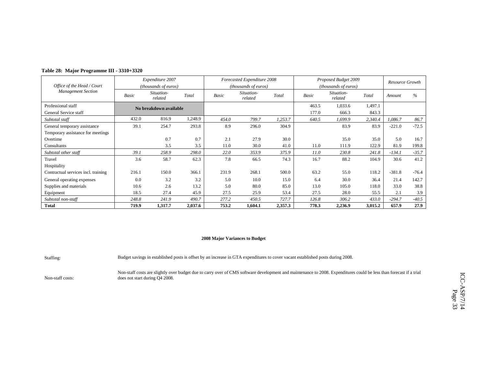|  | Table 28: Major Programme III - 3310+3320 |  |
|--|-------------------------------------------|--|
|--|-------------------------------------------|--|

|                                     |       | Expenditure 2007       |         |       | Forecasted Expenditure 2008 |         |       | Proposed Budget 2009        |         | Resource Growth |         |
|-------------------------------------|-------|------------------------|---------|-------|-----------------------------|---------|-------|-----------------------------|---------|-----------------|---------|
| Office of the Head / Court          |       | (thousands of euros)   |         |       | (thousands of euros)        |         |       | <i>(thousands of euros)</i> |         |                 |         |
| <b>Management Section</b>           | Basic | Situation-<br>related  | Total   | Basic | Situation-<br>related       | Total   | Basic | Situation-<br>related       | Total   | Amount          | $\%$    |
| Professional staff                  |       | No breakdown available |         |       |                             |         | 463.5 | 1,033.6                     | 1,497.1 |                 |         |
| General Service staff               |       |                        |         |       |                             |         | 177.0 | 666.3                       | 843.3   |                 |         |
| Subtotal staff                      | 432.0 | 816.9                  | 1,248.9 | 454.0 | 799.7                       | 1,253.7 | 640.5 | 1,699.9                     | 2,340.4 | 1,086.7         | 86.7    |
| General temporary assistance        | 39.1  | 254.7                  | 293.8   | 8.9   | 296.0                       | 304.9   |       | 83.9                        | 83.9    | $-221.0$        | $-72.5$ |
| Temporary assistance for meetings   |       |                        |         |       |                             |         |       |                             |         |                 |         |
| Overtime                            |       | 0.7                    | 0.7     | 2.1   | 27.9                        | 30.0    |       | 35.0                        | 35.0    | 5.0             | 16.7    |
| Consultants                         |       | 3.5                    | 3.5     | 11.0  | 30.0                        | 41.0    | 11.0  | 111.9                       | 122.9   | 81.9            | 199.8   |
| Subtotal other staff                | 39.1  | 258.9                  | 298.0   | 22.0  | 353.9                       | 375.9   | 11.0  | 230.8                       | 241.8   | $-134.1$        | $-35.7$ |
| Travel                              | 3.6   | 58.7                   | 62.3    | 7.8   | 66.5                        | 74.3    | 16.7  | 88.2                        | 104.9   | 30.6            | 41.2    |
| Hospitality                         |       |                        |         |       |                             |         |       |                             |         |                 |         |
| Contractual services incl. training | 216.1 | 150.0                  | 366.1   | 231.9 | 268.1                       | 500.0   | 63.2  | 55.0                        | 118.2   | $-381.8$        | $-76.4$ |
| General operating expenses          | 0.0   | 3.2                    | 3.2     | 5.0   | 10.0                        | 15.0    | 6.4   | 30.0                        | 36.4    | 21.4            | 142.7   |
| Supplies and materials              | 10.6  | 2.6                    | 13.2    | 5.0   | 80.0                        | 85.0    | 13.0  | 105.0                       | 118.0   | 33.0            | 38.8    |
| Equipment                           | 18.5  | 27.4                   | 45.9    | 27.5  | 25.9                        | 53.4    | 27.5  | 28.0                        | 55.5    | 2.1             | 3.9     |
| Subtotal non-staff                  | 248.8 | 241.9                  | 490.7   | 277.2 | 450.5                       | 727.7   | 126.8 | 306.2                       | 433.0   | $-294.7$        | $-40.5$ |
| <b>Total</b>                        | 719.9 | 1,317.7                | 2,037.6 | 753.2 | 1,604.1                     | 2,357.3 | 778.3 | 2,236.9                     | 3,015.2 | 657.9           | 27.9    |

Staffing: Budget savings in established posts is offset by an increase in GTA expenditures to cover vacant established posts during 2008.

Non-staff costs:

Non-staff costs are slightly over budget due to carry over of CMS software development and maintenance to 2008. Expenditures could be less than forecast if a trial does not start during Q4 2008.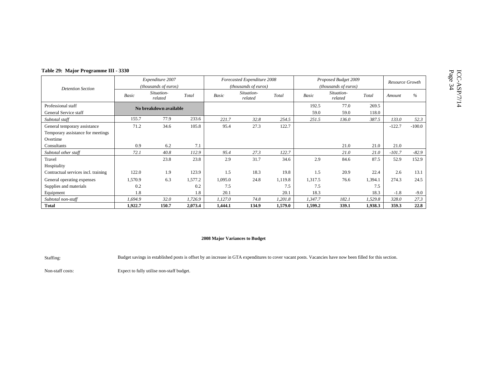| e Growth: | Page 34 |
|-----------|---------|
| $\%$      |         |
|           |         |

|                                     |         | Expenditure 2007       |         |         | Forecasted Expenditure 2008 |         |         | Proposed Budget 2009  |         | Resource Growth |          |
|-------------------------------------|---------|------------------------|---------|---------|-----------------------------|---------|---------|-----------------------|---------|-----------------|----------|
| <b>Detention Section</b>            |         | (thousands of euros)   |         |         | (thousands of euros)        |         |         | (thousands of euros)  |         |                 |          |
|                                     | Basic   | Situation-<br>related  | Total   | Basic   | Situation-<br>related       | Total   | Basic   | Situation-<br>related | Total   | Amount          | $\%$     |
| Professional staff                  |         | No breakdown available |         |         |                             |         | 192.5   | 77.0                  | 269.5   |                 |          |
| General Service staff               |         |                        |         |         |                             |         | 59.0    | 59.0                  | 118.0   |                 |          |
| Subtotal staff                      | 155.7   | 77.9                   | 233.6   | 221.7   | 32.8                        | 254.5   | 251.5   | 136.0                 | 387.5   | 133.0           | 52.3     |
| General temporary assistance        | 71.2    | 34.6                   | 105.8   | 95.4    | 27.3                        | 122.7   |         |                       |         | $-122.7$        | $-100.0$ |
| Temporary assistance for meetings   |         |                        |         |         |                             |         |         |                       |         |                 |          |
| Overtime                            |         |                        |         |         |                             |         |         |                       |         |                 |          |
| Consultants                         | 0.9     | 6.2                    | 7.1     |         |                             |         |         | 21.0                  | 21.0    | 21.0            |          |
| Subtotal other staff                | 72.1    | 40.8                   | 112.9   | 95.4    | 27.3                        | 122.7   |         | 21.0                  | 21.0    | $-101.7$        | $-82.9$  |
| Travel                              |         | 23.8                   | 23.8    | 2.9     | 31.7                        | 34.6    | 2.9     | 84.6                  | 87.5    | 52.9            | 152.9    |
| Hospitality                         |         |                        |         |         |                             |         |         |                       |         |                 |          |
| Contractual services incl. training | 122.0   | 1.9                    | 123.9   | 1.5     | 18.3                        | 19.8    | 1.5     | 20.9                  | 22.4    | 2.6             | 13.1     |
| General operating expenses          | 1,570.9 | 6.3                    | 1,577.2 | 1,095.0 | 24.8                        | 1,119.8 | 1,317.5 | 76.6                  | 1,394.1 | 274.3           | 24.5     |
| Supplies and materials              | 0.2     |                        | 0.2     | 7.5     |                             | 7.5     | 7.5     |                       | 7.5     |                 |          |
| Equipment                           | 1.8     |                        | 1.8     | 20.1    |                             | 20.1    | 18.3    |                       | 18.3    | $-1.8$          | $-9.0$   |
| Subtotal non-staff                  | 1,694.9 | 32.0                   | 1,726.9 | 1,127.0 | 74.8                        | 1,201.8 | 1,347.7 | 182.1                 | 1,529.8 | 328.0           | 27.3     |
| <b>Total</b>                        | 1,922.7 | 150.7                  | 2,073.4 | 1,444.1 | 134.9                       | 1,579.0 | 1,599.2 | 339.1                 | 1,938.3 | 359.3           | 22.8     |

Staffing: Budget savings in established posts is offset by an increase in GTA expenditures to cover vacant posts. Vacancies have now been filled for this section.

Non-staff costs: Expect to fully utilise non-staff budget.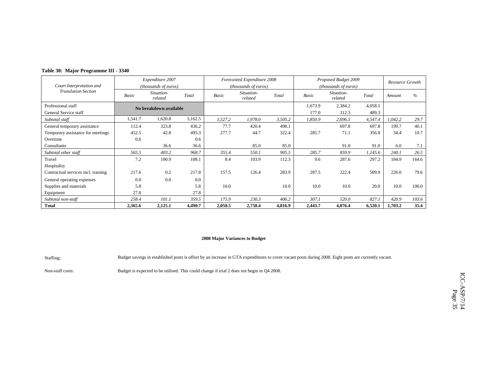|  |  | Table 30: Major Programme III - 3340 |  |
|--|--|--------------------------------------|--|
|--|--|--------------------------------------|--|

|                                     |              | Expenditure 2007       |         |         | Forecasted Expenditure 2008 |         |              | Proposed Budget 2009        |         | Resource Growth |       |
|-------------------------------------|--------------|------------------------|---------|---------|-----------------------------|---------|--------------|-----------------------------|---------|-----------------|-------|
| Court Interpretation and            |              | (thousands of euros)   |         |         | (thousands of euros)        |         |              | <i>(thousands of euros)</i> |         |                 |       |
| <b>Translation Section</b>          | <b>Basic</b> | Situation-<br>related  | Total   | Basic   | Situation-<br>related       | Total   | <b>Basic</b> | Situation-<br>related       | Total   | Amount          | $\%$  |
| Professional staff                  |              | No breakdown available |         |         |                             |         | 1,673.9      | 2,384.2                     | 4,058.1 |                 |       |
| General Service staff               |              |                        |         |         |                             |         | 177.0        | 312.3                       | 489.3   |                 |       |
| Subtotal staff                      | 1,541.7      | 1,620.8                | 3,162.5 | 1,527.2 | 1,978.0                     | 3,505.2 | 1,850.9      | 2,696.5                     | 4,547.4 | 1,042.2         | 29.7  |
| General temporary assistance        | 112.4        | 323.8                  | 436.2   | 77.7    | 420.4                       | 498.1   |              | 697.8                       | 697.8   | 199.7           | 40.1  |
| Temporary assistance for meetings   | 452.5        | 42.8                   | 495.3   | 277.7   | 44.7                        | 322.4   | 285.7        | 71.1                        | 356.8   | 34.4            | 10.7  |
| Overtime                            | 0.6          |                        | 0.6     |         |                             |         |              |                             |         |                 |       |
| Consultants                         |              | 36.6                   | 36.6    |         | 85.0                        | 85.0    |              | 91.0                        | 91.0    | 6.0             | 7.1   |
| Subtotal other staff                | 565.5        | 403.2                  | 968.7   | 355.4   | 550.1                       | 905.5   | 285.7        | 859.9                       | 1,145.6 | 240.1           | 26.5  |
| Travel                              | 7.2          | 100.9                  | 108.1   | 8.4     | 103.9                       | 112.3   | 9.6          | 287.6                       | 297.2   | 184.9           | 164.6 |
| Hospitality                         |              |                        |         |         |                             |         |              |                             |         |                 |       |
| Contractual services incl. training | 217.6        | 0.2                    | 217.8   | 157.5   | 126.4                       | 283.9   | 287.5        | 222.4                       | 509.9   | 226.0           | 79.6  |
| General operating expenses          | 0.0          | 0.0                    | 0.0     |         |                             |         |              |                             |         |                 |       |
| Supplies and materials              | 5.8          |                        | 5.8     | 10.0    |                             | 10.0    | 10.0         | 10.0                        | 20.0    | 10.0            | 100.0 |
| Equipment                           | 27.8         |                        | 27.8    |         |                             |         |              |                             |         |                 |       |
| Subtotal non-staff                  | 258.4        | 101.1                  | 359.5   | 175.9   | 230.3                       | 406.2   | 307.1        | 520.0                       | 827.1   | 420.9           | 103.6 |
| <b>Total</b>                        | 2,365.6      | 2,125.1                | 4,490.7 | 2,058.5 | 2,758.4                     | 4,816.9 | 2,443.7      | 4,076.4                     | 6,520.1 | 1,703.2         | 35.4  |

Staffing: Budget savings in established posts is offset by an increase in GTA expenditures to cover vacant posts during 2008. Eight posts are currently vacant.

Non-staff costs: Budget is expected to be utilised. This could change if trial 2 does not begin in Q4 2008.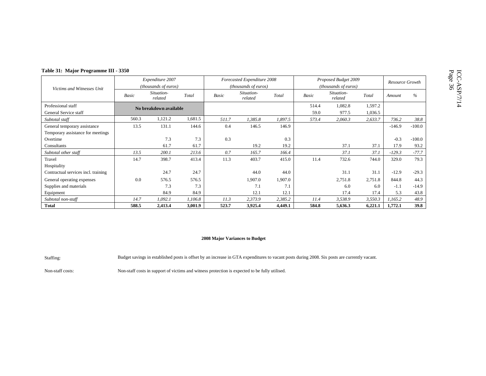|  | Page 36 | έ |
|--|---------|---|
|  |         | 1 |

| Table 31: Major Programme III - 3350 |                  |                        |         |       |                               |         |                      |                               |                 |          |          |
|--------------------------------------|------------------|------------------------|---------|-------|-------------------------------|---------|----------------------|-------------------------------|-----------------|----------|----------|
|                                      | Expenditure 2007 |                        |         |       | Forecasted Expenditure 2008   |         | Proposed Budget 2009 |                               | Resource Growth |          |          |
| Victims and Witnesses Unit           |                  | (thousands of euros)   |         |       | ( <i>thousands of euros</i> ) |         |                      | ( <i>thousands of euros</i> ) |                 |          |          |
|                                      | Basic            | Situation-<br>related  | Total   | Basic | Situation-<br>related         | Total   | Basic                | Situation-<br>related         | Total           | Amount   | $\%$     |
| Professional staff                   |                  | No breakdown available |         |       |                               |         | 514.4                | 1,082.8                       | 1,597.2         |          |          |
| General Service staff                |                  |                        |         |       |                               |         | 59.0                 | 977.5                         | 1,036.5         |          |          |
| Subtotal staff                       | 560.3            | 1,121.2                | 1,681.5 | 511.7 | 1,385.8                       | 1,897.5 | 573.4                | 2,060.3                       | 2,633.7         | 736.2    | 38.8     |
| General temporary assistance         | 13.5             | 131.1                  | 144.6   | 0.4   | 146.5                         | 146.9   |                      |                               |                 | $-146.9$ | $-100.0$ |
| Temporary assistance for meetings    |                  |                        |         |       |                               |         |                      |                               |                 |          |          |
| Overtime                             |                  | 7.3                    | 7.3     | 0.3   |                               | 0.3     |                      |                               |                 | $-0.3$   | $-100.0$ |
| Consultants                          |                  | 61.7                   | 61.7    |       | 19.2                          | 19.2    |                      | 37.1                          | 37.1            | 17.9     | 93.2     |
| Subtotal other staff                 | 13.5             | 200.1                  | 213.6   | 0.7   | 165.7                         | 166.4   |                      | 37.1                          | 37.1            | $-129.3$ | $-77.7$  |
| Travel                               | 14.7             | 398.7                  | 413.4   | 11.3  | 403.7                         | 415.0   | 11.4                 | 732.6                         | 744.0           | 329.0    | 79.3     |
| Hospitality                          |                  |                        |         |       |                               |         |                      |                               |                 |          |          |
| Contractual services incl. training  |                  | 24.7                   | 24.7    |       | 44.0                          | 44.0    |                      | 31.1                          | 31.1            | $-12.9$  | $-29.3$  |
| General operating expenses           | 0.0              | 576.5                  | 576.5   |       | 1,907.0                       | 1,907.0 |                      | 2,751.8                       | 2,751.8         | 844.8    | 44.3     |
| Supplies and materials               |                  | 7.3                    | 7.3     |       | 7.1                           | 7.1     |                      | 6.0                           | 6.0             | $-1.1$   | $-14.9$  |
| Equipment                            |                  | 84.9                   | 84.9    |       | 12.1                          | 12.1    |                      | 17.4                          | 17.4            | 5.3      | 43.8     |
| Subtotal non-staff                   | 14.7             | 1,092.1                | 1,106.8 | 11.3  | 2,373.9                       | 2,385.2 | 11.4                 | 3,538.9                       | 3,550.3         | 1,165.2  | 48.9     |
| <b>Total</b>                         | 588.5            | 2,413.4                | 3,001.9 | 523.7 | 3,925.4                       | 4,449.1 | 584.8                | 5,636.3                       | 6,221.1         | 1,772.1  | 39.8     |

Staffing: Budget savings in established posts is offset by an increase in GTA expenditures to vacant posts during 2008. Six posts are currently vacant.

Non-staff costs: Non-staff costs in support of victims and witness protection is expected to be fully utilised.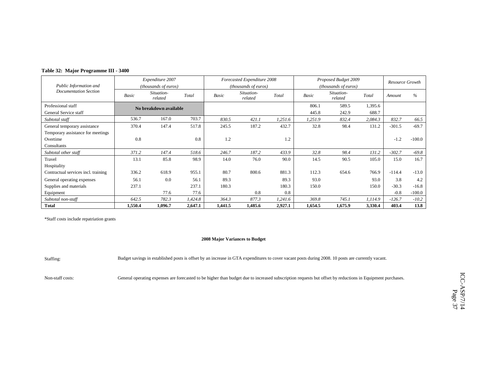|  |  | Table 32: Major Programme III - 3400 |  |  |
|--|--|--------------------------------------|--|--|
|--|--|--------------------------------------|--|--|

|                                     |              | Expenditure 2007       |         |         | Forecasted Expenditure 2008 |         |              | Proposed Budget 2009          |         | Resource Growth |          |
|-------------------------------------|--------------|------------------------|---------|---------|-----------------------------|---------|--------------|-------------------------------|---------|-----------------|----------|
| Public Information and              |              | (thousands of euros)   |         |         | (thousands of euros)        |         |              | ( <i>thousands of euros</i> ) |         |                 |          |
| <b>Documentation Section</b>        | <b>Basic</b> | Situation-<br>related  | Total   | Basic   | Situation-<br>related       | Total   | <b>Basic</b> | Situation-<br>related         | Total   | Amount          | $\%$     |
| Professional staff                  |              | No breakdown available |         |         |                             |         | 806.1        | 589.5                         | 1,395.6 |                 |          |
| General Service staff               |              |                        |         |         |                             |         | 445.8        | 242.9                         | 688.7   |                 |          |
| Subtotal staff                      | 536.7        | 167.0                  | 703.7   | 830.5   | 421.1                       | 1,251.6 | 1,251.9      | 832.4                         | 2,084.3 | 832.7           | 66.5     |
| General temporary assistance        | 370.4        | 147.4                  | 517.8   | 245.5   | 187.2                       | 432.7   | 32.8         | 98.4                          | 131.2   | $-301.5$        | $-69.7$  |
| Temporary assistance for meetings   |              |                        |         |         |                             |         |              |                               |         |                 |          |
| Overtime                            | 0.8          |                        | 0.8     | 1.2     |                             | 1.2     |              |                               |         | $-1.2$          | $-100.0$ |
| Consultants                         |              |                        |         |         |                             |         |              |                               |         |                 |          |
| Subtotal other staff                | 371.2        | 147.4                  | 518.6   | 246.7   | 187.2                       | 433.9   | 32.8         | 98.4                          | 131.2   | $-302.7$        | $-69.8$  |
| Travel                              | 13.1         | 85.8                   | 98.9    | 14.0    | 76.0                        | 90.0    | 14.5         | 90.5                          | 105.0   | 15.0            | 16.7     |
| Hospitality                         |              |                        |         |         |                             |         |              |                               |         |                 |          |
| Contractual services incl. training | 336.2        | 618.9                  | 955.1   | 80.7    | 800.6                       | 881.3   | 112.3        | 654.6                         | 766.9   | $-114.4$        | $-13.0$  |
| General operating expenses          | 56.1         | 0.0                    | 56.1    | 89.3    |                             | 89.3    | 93.0         |                               | 93.0    | 3.8             | 4.2      |
| Supplies and materials              | 237.1        |                        | 237.1   | 180.3   |                             | 180.3   | 150.0        |                               | 150.0   | $-30.3$         | $-16.8$  |
| Equipment                           |              | 77.6                   | 77.6    |         | 0.8                         | 0.8     |              |                               |         | $-0.8$          | $-100.0$ |
| Subtotal non-staff                  | 642.5        | 782.3                  | 1,424.8 | 364.3   | 877.3                       | 1,241.6 | 369.8        | 745.1                         | 1,114.9 | $-126.7$        | $-10.2$  |
| <b>Total</b>                        | 1,550.4      | 1,096.7                | 2,647.1 | 1,441.5 | 1,485.6                     | 2,927.1 | 1,654.5      | 1,675.9                       | 3,330.4 | 403.4           | 13.8     |

### **2008 Major Variances to Budget**

Staffing: Budget savings in established posts is offset by an increase in GTA expenditures to cover vacant posts during 2008. 10 posts are currently vacant.

Non-staff costs: General operating expenses are forecasted to be higher than budget due to increased subscription requests but offset by reductions in Equipment purchases.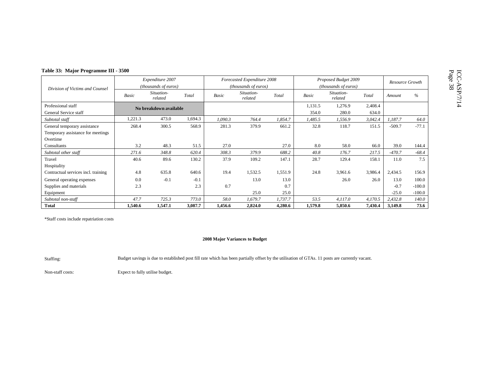| Table 33: Major Programme III - 3500                              |         |                                          |         |         |                                                     |         |                  |                                              |                  |          |                        |
|-------------------------------------------------------------------|---------|------------------------------------------|---------|---------|-----------------------------------------------------|---------|------------------|----------------------------------------------|------------------|----------|------------------------|
| Division of Victims and Counsel                                   |         | Expenditure 2007<br>(thousands of euros) |         |         | Forecasted Expenditure 2008<br>(thousands of euros) |         |                  | Proposed Budget 2009<br>(thousands of euros) |                  |          | <b>Resource Growth</b> |
|                                                                   | Basic   | Situation-<br>related                    | Total   | Basic   | Situation-<br>related                               | Total   | Basic            | Situation-<br>related                        | Total            | Amount   | $\%$                   |
| Professional staff<br>General Service staff                       |         | No breakdown available                   |         |         |                                                     |         | 1,131.5<br>354.0 | 1,276.9<br>280.0                             | 2,408.4<br>634.0 |          |                        |
| Subtotal staff                                                    | 1,221.3 | 473.0                                    | 1,694.3 | 1,090.3 | 764.4                                               | 1,854.7 | 1,485.5          | 1,556.9                                      | 3,042.4          | 1.187.7  | 64.0                   |
| General temporary assistance<br>Temporary assistance for meetings | 268.4   | 300.5                                    | 568.9   | 281.3   | 379.9                                               | 661.2   | 32.8             | 118.7                                        | 151.5            | $-509.7$ | $-77.1$                |
| Overtime                                                          |         |                                          |         |         |                                                     |         |                  |                                              |                  |          |                        |
| Consultants                                                       | 3.2     | 48.3                                     | 51.5    | 27.0    |                                                     | 27.0    | 8.0              | 58.0                                         | 66.0             | 39.0     | 144.4                  |
| Subtotal other staff                                              | 271.6   | 348.8                                    | 620.4   | 308.3   | 379.9                                               | 688.2   | 40.8             | 176.7                                        | 217.5            | $-470.7$ | $-68.4$                |
| Travel<br>Hospitality                                             | 40.6    | 89.6                                     | 130.2   | 37.9    | 109.2                                               | 147.1   | 28.7             | 129.4                                        | 158.1            | 11.0     | 7.5                    |
| Contractual services incl. training                               | 4.8     | 635.8                                    | 640.6   | 19.4    | 1,532.5                                             | 1,551.9 | 24.8             | 3,961.6                                      | 3,986.4          | 2,434.5  | 156.9                  |
| General operating expenses                                        | 0.0     | $-0.1$                                   | $-0.1$  |         | 13.0                                                | 13.0    |                  | 26.0                                         | 26.0             | 13.0     | 100.0                  |
| Supplies and materials                                            | 2.3     |                                          | 2.3     | 0.7     |                                                     | 0.7     |                  |                                              |                  | $-0.7$   | $-100.0$               |
| Equipment                                                         |         |                                          |         |         | 25.0                                                | 25.0    |                  |                                              |                  | $-25.0$  | $-100.0$               |
| Subtotal non-staff                                                | 47.7    | 725.3                                    | 773.0   | 58.0    | 1,679.7                                             | 1,737.7 | 53.5             | 4,117.0                                      | 4,170.5          | 2,432.8  | 140.0                  |
| Total                                                             | 1,540.6 | 1,547.1                                  | 3,087.7 | 1,456.6 | 2,824.0                                             | 4,280.6 | 1,579.8          | 5,850.6                                      | 7,430.4          | 3,149.8  | 73.6                   |

### **2008 Major Variances to Budget**

Staffing: Budget savings is due to established post fill rate which has been partially offset by the utilisation of GTAs. 11 posts are currently vacant.

Non-staff costs: Expect to fully utilise budget.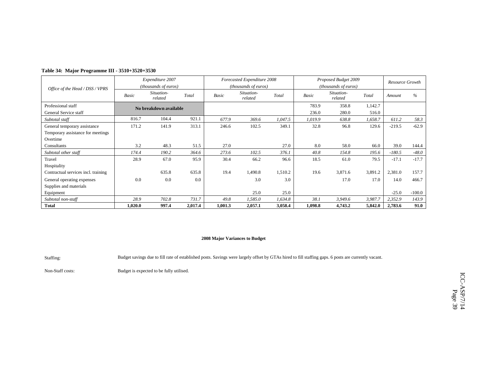|                                     |         | Expenditure 2007       |         |         | Forecasted Expenditure 2008 |         | Proposed Budget 2009 |                       | Resource Growth |          |          |
|-------------------------------------|---------|------------------------|---------|---------|-----------------------------|---------|----------------------|-----------------------|-----------------|----------|----------|
| Office of the Head / DSS / VPRS     |         | (thousands of euros)   |         |         | (thousands of euros)        |         |                      | (thousands of euros)  |                 |          |          |
|                                     | Basic   | Situation-<br>related  | Total   | Basic   | Situation-<br>related       | Total   | <b>Basic</b>         | Situation-<br>related | Total           | Amount   | $\%$     |
| Professional staff                  |         | No breakdown available |         |         |                             |         | 783.9                | 358.8                 | 1,142.7         |          |          |
| General Service staff               |         |                        |         |         |                             |         | 236.0                | 280.0                 | 516.0           |          |          |
| Subtotal staff                      | 816.7   | 104.4                  | 921.1   | 677.9   | 369.6                       | 1,047.5 | 1,019.9              | 638.8                 | 1,658.7         | 611.2    | 58.3     |
| General temporary assistance        | 171.2   | 141.9                  | 313.1   | 246.6   | 102.5                       | 349.1   | 32.8                 | 96.8                  | 129.6           | $-219.5$ | $-62.9$  |
| Temporary assistance for meetings   |         |                        |         |         |                             |         |                      |                       |                 |          |          |
| Overtime                            |         |                        |         |         |                             |         |                      |                       |                 |          |          |
| Consultants                         | 3.2     | 48.3                   | 51.5    | 27.0    |                             | 27.0    | 8.0                  | 58.0                  | 66.0            | 39.0     | 144.4    |
| Subtotal other staff                | 174.4   | 190.2                  | 364.6   | 273.6   | 102.5                       | 376.1   | 40.8                 | 154.8                 | 195.6           | $-180.5$ | $-48.0$  |
| Travel                              | 28.9    | 67.0                   | 95.9    | 30.4    | 66.2                        | 96.6    | 18.5                 | 61.0                  | 79.5            | $-17.1$  | $-17.7$  |
| Hospitality                         |         |                        |         |         |                             |         |                      |                       |                 |          |          |
| Contractual services incl. training |         | 635.8                  | 635.8   | 19.4    | 1,490.8                     | 1,510.2 | 19.6                 | 3,871.6               | 3,891.2         | 2,381.0  | 157.7    |
| General operating expenses          | 0.0     | 0.0                    | 0.0     |         | 3.0                         | 3.0     |                      | 17.0                  | 17.0            | 14.0     | 466.7    |
| Supplies and materials              |         |                        |         |         |                             |         |                      |                       |                 |          |          |
| Equipment                           |         |                        |         |         | 25.0                        | 25.0    |                      |                       |                 | $-25.0$  | $-100.0$ |
| Subtotal non-staff                  | 28.9    | 702.8                  | 731.7   | 49.8    | 1,585.0                     | 1,634.8 | 38.1                 | 3,949.6               | 3,987.7         | 2,352.9  | 143.9    |
| <b>Total</b>                        | 1,020.0 | 997.4                  | 2,017.4 | 1,001.3 | 2,057.1                     | 3,058.4 | 1,098.8              | 4,743.2               | 5,842.0         | 2,783.6  | 91.0     |

### **Table 34: Major Programme III - 3510+3520+3530**

### **2008 Major Variances to Budget**

Staffing: Budget savings due to fill rate of established posts. Savings were largely offset by GTAs hired to fill staffing gaps. 6 posts are currently vacant.

Non-Staff costs: Budget is expected to be fully utilised.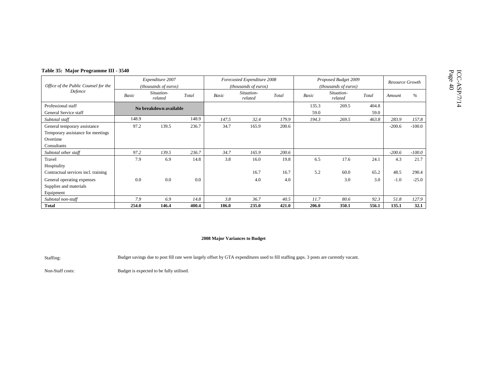| `able 35: Major Programme III - 3540 |  |  |  |
|--------------------------------------|--|--|--|
|--------------------------------------|--|--|--|

| Table 35: Major Programme III - 3540 |       |                        |       |       |                             |       |       |                       |       |          |                 |
|--------------------------------------|-------|------------------------|-------|-------|-----------------------------|-------|-------|-----------------------|-------|----------|-----------------|
|                                      |       | Expenditure 2007       |       |       | Forecasted Expenditure 2008 |       |       | Proposed Budget 2009  |       |          | Resource Growth |
| Office of the Public Counsel for the |       | (thousands of euros)   |       |       | (thousands of euros)        |       |       | (thousands of euros)  |       |          |                 |
| Defence                              | Basic | Situation-<br>related  | Total | Basic | Situation-<br>related       | Total | Basic | Situation-<br>related | Total | Amount   | $\%$            |
| Professional staff                   |       | No breakdown available |       |       |                             |       | 135.3 | 269.5                 | 404.8 |          |                 |
| General Service staff                |       |                        |       |       |                             |       | 59.0  |                       | 59.0  |          |                 |
| Subtotal staff                       | 148.9 |                        | 148.9 | 147.5 | 32.4                        | 179.9 | 194.3 | 269.5                 | 463.8 | 283.9    | 157.8           |
| General temporary assistance         | 97.2  | 139.5                  | 236.7 | 34.7  | 165.9                       | 200.6 |       |                       |       | $-200.6$ | $-100.0$        |
| Temporary assistance for meetings    |       |                        |       |       |                             |       |       |                       |       |          |                 |
| Overtime                             |       |                        |       |       |                             |       |       |                       |       |          |                 |
| Consultants                          |       |                        |       |       |                             |       |       |                       |       |          |                 |
| Subtotal other staff                 | 97.2  | 139.5                  | 236.7 | 34.7  | 165.9                       | 200.6 |       |                       |       | $-200.6$ | $-100.0$        |
| Travel                               | 7.9   | 6.9                    | 14.8  | 3.8   | 16.0                        | 19.8  | 6.5   | 17.6                  | 24.1  | 4.3      | 21.7            |
| Hospitality                          |       |                        |       |       |                             |       |       |                       |       |          |                 |
| Contractual services incl. training  |       |                        |       |       | 16.7                        | 16.7  | 5.2   | 60.0                  | 65.2  | 48.5     | 290.4           |
| General operating expenses           | 0.0   | 0.0                    | 0.0   |       | 4.0                         | 4.0   |       | 3.0                   | 3.0   | $-1.0$   | $-25.0$         |
| Supplies and materials               |       |                        |       |       |                             |       |       |                       |       |          |                 |
| Equipment                            |       |                        |       |       |                             |       |       |                       |       |          |                 |
| Subtotal non-staff                   | 7.9   | 6.9                    | 14.8  | 3.8   | 36.7                        | 40.5  | 11.7  | 80.6                  | 92.3  | 51.8     | 127.9           |
| <b>Total</b>                         | 254.0 | 146.4                  | 400.4 | 186.0 | 235.0                       | 421.0 | 206.0 | 350.1                 | 556.1 | 135.1    | 32.1            |

Staffing: Budget savings due to post fill rate were largely offset by GTA expenditures used to fill staffing gaps. 3 posts are currently vacant.

Non-Staff costs: Budget is expected to be fully utilised.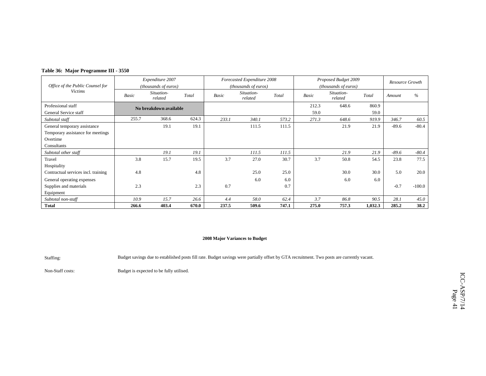|  |  | Table 36: Major Programme III - 3550 |  |  |
|--|--|--------------------------------------|--|--|
|--|--|--------------------------------------|--|--|

|                                     | Expenditure 2007 |                                |       | Forecasted Expenditure 2008 |                       |       |       | Proposed Budget 2009  | Resource Growth |         |          |
|-------------------------------------|------------------|--------------------------------|-------|-----------------------------|-----------------------|-------|-------|-----------------------|-----------------|---------|----------|
| Office of the Public Counsel for    |                  | (thousands of euros)           |       |                             | (thousands of euros)  |       |       | (thousands of euros)  |                 |         |          |
| <b>Victims</b>                      | Basic            | Situation-<br>Total<br>related |       |                             | Situation-<br>related | Total | Basic | Situation-<br>related | Total           | Amount  | $\%$     |
| Professional staff                  |                  | No breakdown available         |       |                             |                       |       | 212.3 | 648.6                 | 860.9           |         |          |
| General Service staff               |                  |                                |       |                             |                       |       | 59.0  |                       | 59.0            |         |          |
| Subtotal staff                      | 255.7            | 368.6                          | 624.3 | 233.1                       | 340.1                 | 573.2 | 271.3 | 648.6                 | 919.9           | 346.7   | 60.5     |
| General temporary assistance        |                  | 19.1                           | 19.1  |                             | 111.5                 | 111.5 |       | 21.9                  | 21.9            | $-89.6$ | $-80.4$  |
| Temporary assistance for meetings   |                  |                                |       |                             |                       |       |       |                       |                 |         |          |
| Overtime                            |                  |                                |       |                             |                       |       |       |                       |                 |         |          |
| Consultants                         |                  |                                |       |                             |                       |       |       |                       |                 |         |          |
| Subtotal other staff                |                  | 19.1                           | 19.1  |                             | 111.5                 | 111.5 |       | 21.9                  | 21.9            | $-89.6$ | $-80.4$  |
| Travel                              | 3.8              | 15.7                           | 19.5  | 3.7                         | 27.0                  | 30.7  | 3.7   | 50.8                  | 54.5            | 23.8    | 77.5     |
| Hospitality                         |                  |                                |       |                             |                       |       |       |                       |                 |         |          |
| Contractual services incl. training | 4.8              |                                | 4.8   |                             | 25.0                  | 25.0  |       | 30.0                  | 30.0            | 5.0     | 20.0     |
| General operating expenses          |                  |                                |       |                             | 6.0                   | 6.0   |       | 6.0                   | 6.0             |         |          |
| Supplies and materials              | 2.3              |                                | 2.3   | 0.7                         |                       | 0.7   |       |                       |                 | $-0.7$  | $-100.0$ |
| Equipment                           |                  |                                |       |                             |                       |       |       |                       |                 |         |          |
| Subtotal non-staff                  | 10.9             | 15.7                           | 26.6  | 4.4                         | 58.0                  | 62.4  | 3.7   | 86.8                  | 90.5            | 28.1    | 45.0     |
| <b>Total</b>                        | 266.6            | 403.4                          | 670.0 | 237.5                       | 509.6                 | 747.1 | 275.0 | 757.3                 | 1,032.3         | 285.2   | 38.2     |

Staffing: Budget savings due to established posts fill rate. Budget savings were partially offset by GTA recruitment. Two posts are currently vacant.

Non-Staff costs: Budget is expected to be fully utilised.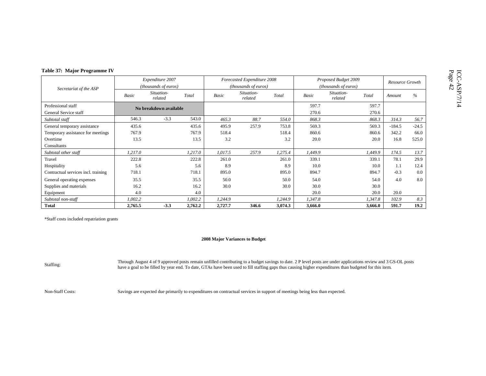|  |  | Table 37: Major Programme IV |
|--|--|------------------------------|
|--|--|------------------------------|

| Table 37: Major Programme IV        |         |                                |         |         |                             |         |                      |                       |         |                 |         |
|-------------------------------------|---------|--------------------------------|---------|---------|-----------------------------|---------|----------------------|-----------------------|---------|-----------------|---------|
|                                     |         | Expenditure 2007               |         |         | Forecasted Expenditure 2008 |         | Proposed Budget 2009 |                       |         | Resource Growth |         |
| Secretariat of the ASP              |         | (thousands of euros)           |         |         | (thousands of euros)        |         |                      | (thousands of euros)  |         |                 |         |
|                                     | Basic   | Situation-<br>Total<br>related |         | Basic   | Situation-<br>related       | Total   | Basic                | Situation-<br>related | Total   | Amount          | $\%$    |
| Professional staff                  |         | No breakdown available         |         |         |                             |         | 597.7                |                       | 597.7   |                 |         |
| General Service staff               |         |                                |         |         |                             |         | 270.6                |                       | 270.6   |                 |         |
| Subtotal staff                      | 546.3   | $-3.3$                         | 543.0   | 465.3   | 88.7                        | 554.0   | 868.3                |                       | 868.3   | 314.3           | 56.7    |
| General temporary assistance        | 435.6   |                                | 435.6   | 495.9   | 257.9                       | 753.8   | 569.3                |                       | 569.3   | $-184.5$        | $-24.5$ |
| Temporary assistance for meetings   | 767.9   |                                | 767.9   | 518.4   |                             | 518.4   | 860.6                |                       | 860.6   | 342.2           | 66.0    |
| Overtime                            | 13.5    |                                | 13.5    | 3.2     |                             | 3.2     | 20.0                 |                       | 20.0    | 16.8            | 525.0   |
| Consultants                         |         |                                |         |         |                             |         |                      |                       |         |                 |         |
| Subtotal other staff                | 1,217.0 |                                | 1,217.0 | 1,017.5 | 257.9                       | 1,275.4 | 1,449.9              |                       | 1,449.9 | 174.5           | 13.7    |
| Travel                              | 222.8   |                                | 222.8   | 261.0   |                             | 261.0   | 339.1                |                       | 339.1   | 78.1            | 29.9    |
| Hospitality                         | 5.6     |                                | 5.6     | 8.9     |                             | 8.9     | 10.0                 |                       | 10.0    | 1.1             | 12.4    |
| Contractual services incl. training | 718.1   |                                | 718.1   | 895.0   |                             | 895.0   | 894.7                |                       | 894.7   | $-0.3$          | 0.0     |
| General operating expenses          | 35.5    |                                | 35.5    | 50.0    |                             | 50.0    | 54.0                 |                       | 54.0    | 4.0             | 8.0     |
| Supplies and materials              | 16.2    |                                | 16.2    | 30.0    |                             | 30.0    | 30.0                 |                       | 30.0    |                 |         |
| Equipment                           | 4.0     |                                | 4.0     |         |                             |         | 20.0                 |                       | 20.0    | 20.0            |         |
| Subtotal non-staff                  | 1,002.2 |                                | 1,002.2 | 1,244.9 |                             | 1,244.9 | 1,347.8              |                       | 1,347.8 | 102.9           | 8.3     |
| <b>Total</b>                        | 2,765.5 | $-3.3$                         | 2,762.2 | 2,727.7 | 346.6                       | 3,074.3 | 3,666.0              |                       | 3,666.0 | 591.7           | 19.2    |

### **2008 Major Variances to Budget**

Through August 4 of 9 approved posts remain unfilled contributing to a budget savings to date. 2 P level posts are under applications review and 3 GS-OL posts<br>have a goal to be filled by year end. To date, GTAs have been u

Non-Staff Costs: Savings are expected due primarily to expenditures on contractual services in support of meetings being less than expected.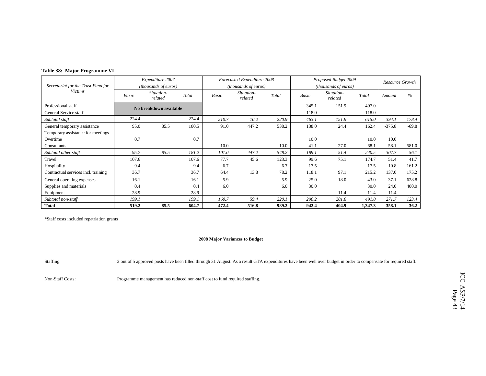|  |  | Table 38: Major Programme VI |  |
|--|--|------------------------------|--|
|--|--|------------------------------|--|

|                                     | Expenditure 2007 |                        |       | Forecasted Expenditure 2008 |                       |       | Proposed Budget 2009 | Resource Growth       |         |          |         |
|-------------------------------------|------------------|------------------------|-------|-----------------------------|-----------------------|-------|----------------------|-----------------------|---------|----------|---------|
| Secretariat for the Trust Fund for  |                  | (thousands of euros)   |       | (thousands of euros)        |                       |       |                      | (thousands of euros)  |         |          |         |
| <b>Victims</b>                      | Basic            | Situation-<br>related  | Total | <b>Basic</b>                | Situation-<br>related | Total | Basic                | Situation-<br>related | Total   | Amount   | $\%$    |
| Professional staff                  |                  | No breakdown available |       |                             |                       |       | 345.1                | 151.9                 | 497.0   |          |         |
| General Service staff               |                  |                        |       |                             |                       |       | 118.0                |                       | 118.0   |          |         |
| Subtotal staff                      | 224.4            |                        | 224.4 | 210.7                       | 10.2                  | 220.9 | 463.1                | 151.9                 | 615.0   | 394.1    | 178.4   |
| General temporary assistance        | 95.0             | 85.5                   | 180.5 | 91.0                        | 447.2                 | 538.2 | 138.0                | 24.4                  | 162.4   | $-375.8$ | $-69.8$ |
| Temporary assistance for meetings   |                  |                        |       |                             |                       |       |                      |                       |         |          |         |
| Overtime                            | 0.7              |                        | 0.7   |                             |                       |       | 10.0                 |                       | 10.0    | 10.0     |         |
| Consultants                         |                  |                        |       | 10.0                        |                       | 10.0  | 41.1                 | 27.0                  | 68.1    | 58.1     | 581.0   |
| Subtotal other staff                | 95.7             | 85.5                   | 181.2 | 101.0                       | 447.2                 | 548.2 | 189.1                | 51.4                  | 240.5   | $-307.7$ | $-56.1$ |
| Travel                              | 107.6            |                        | 107.6 | 77.7                        | 45.6                  | 123.3 | 99.6                 | 75.1                  | 174.7   | 51.4     | 41.7    |
| Hospitality                         | 9.4              |                        | 9.4   | 6.7                         |                       | 6.7   | 17.5                 |                       | 17.5    | 10.8     | 161.2   |
| Contractual services incl. training | 36.7             |                        | 36.7  | 64.4                        | 13.8                  | 78.2  | 118.1                | 97.1                  | 215.2   | 137.0    | 175.2   |
| General operating expenses          | 16.1             |                        | 16.1  | 5.9                         |                       | 5.9   | 25.0                 | 18.0                  | 43.0    | 37.1     | 628.8   |
| Supplies and materials              | 0.4              |                        | 0.4   | 6.0                         |                       | 6.0   | 30.0                 |                       | 30.0    | 24.0     | 400.0   |
| Equipment                           | 28.9             |                        | 28.9  |                             |                       |       |                      | 11.4                  | 11.4    | 11.4     |         |
| Subtotal non-staff                  | 199.1            |                        | 199.1 | 160.7                       | 59.4                  | 220.1 | 290.2                | 201.6                 | 491.8   | 271.7    | 123.4   |
| <b>Total</b>                        | 519.2            | 85.5                   | 604.7 | 472.4                       | 516.8                 | 989.2 | 942.4                | 404.9                 | 1,347.3 | 358.1    | 36.2    |

### **2008 Major Variances to Budget**

Staffing: 2 out of 5 approved posts have been filled through 31 August. As a result GTA expenditures have been well over budget in order to compensate for required staff.

Non-Staff Costs: Programme management has reduced non-staff cost to fund required staffing.